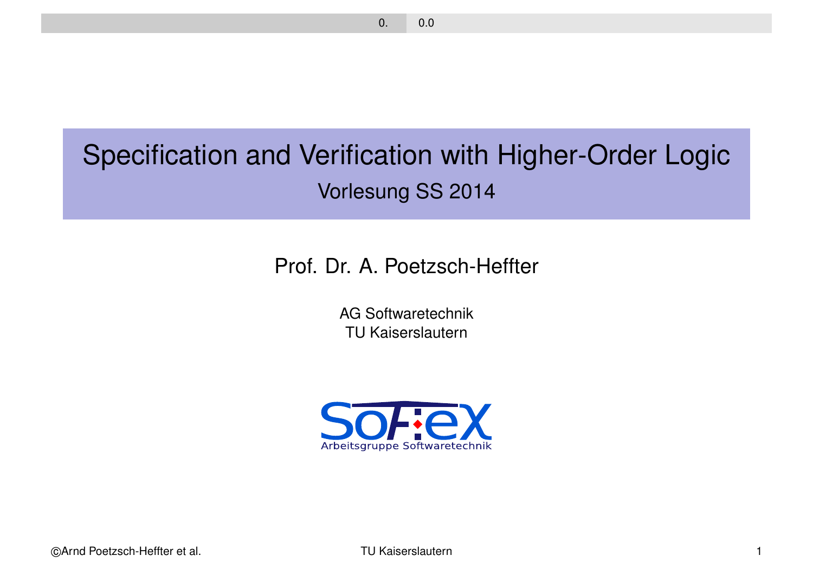# Specification and Verification with Higher-Order Logic Vorlesung SS 2014

Prof. Dr. A. Poetzsch-Heffter

AG Softwaretechnik TU Kaiserslautern

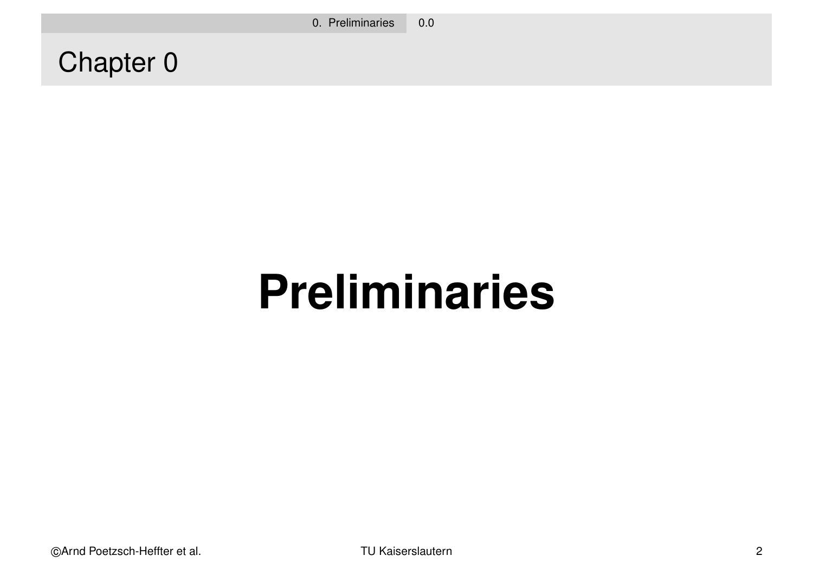0. Preliminaries 0.0

Chapter 0

# **Preliminaries**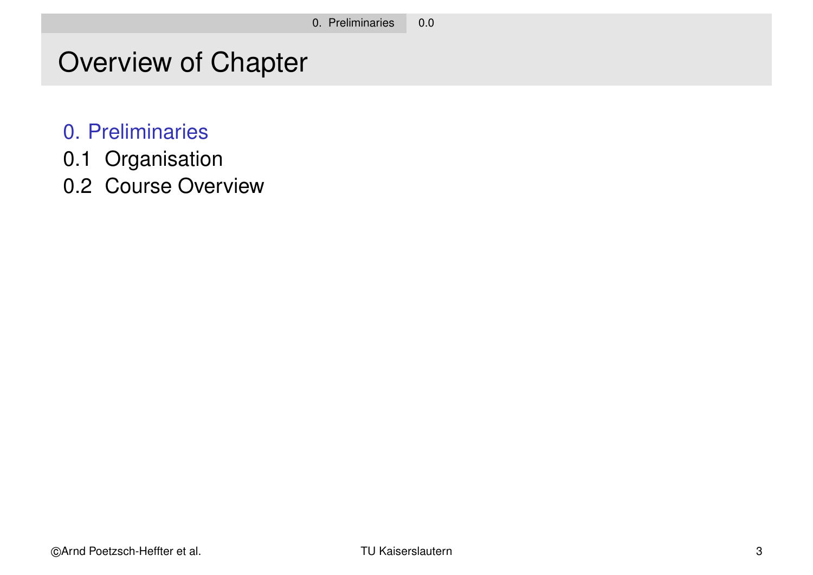# Overview of Chapter

- 0. Preliminaries
- 0.1 Organisation
- 0.2 Course Overview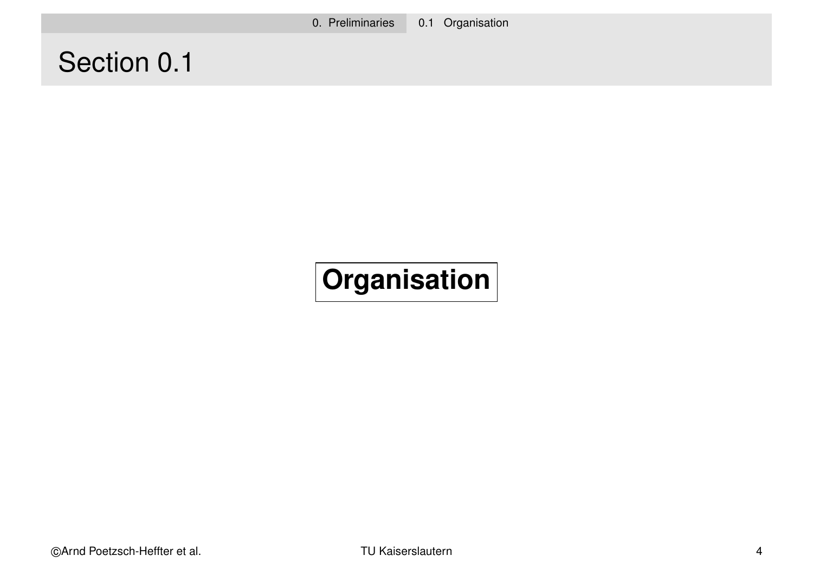# Section 0.1

# **Organisation**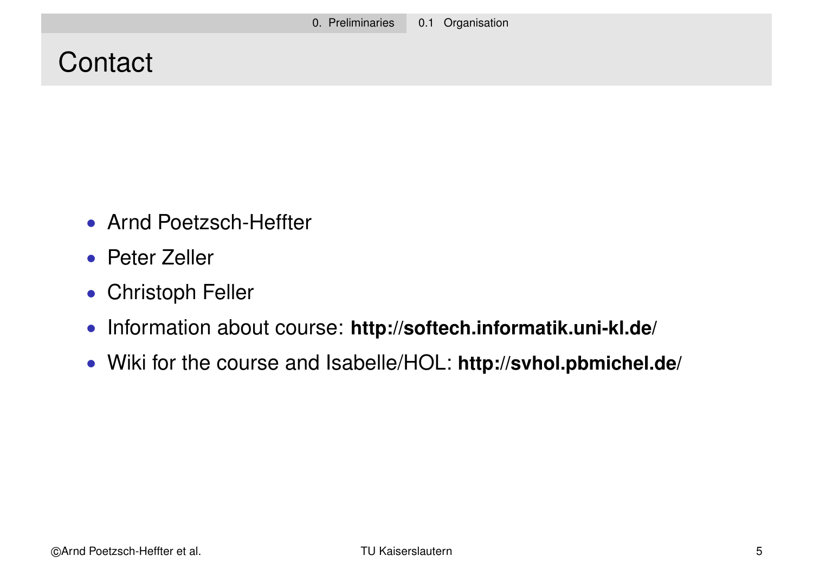# **Contact**

- Arnd Poetzsch-Heffter
- Peter Zeller
- Christoph Feller
- Information about course: **http://softech.informatik.uni-kl.de/**
- Wiki for the course and Isabelle/HOL: **http://svhol.pbmichel.de/**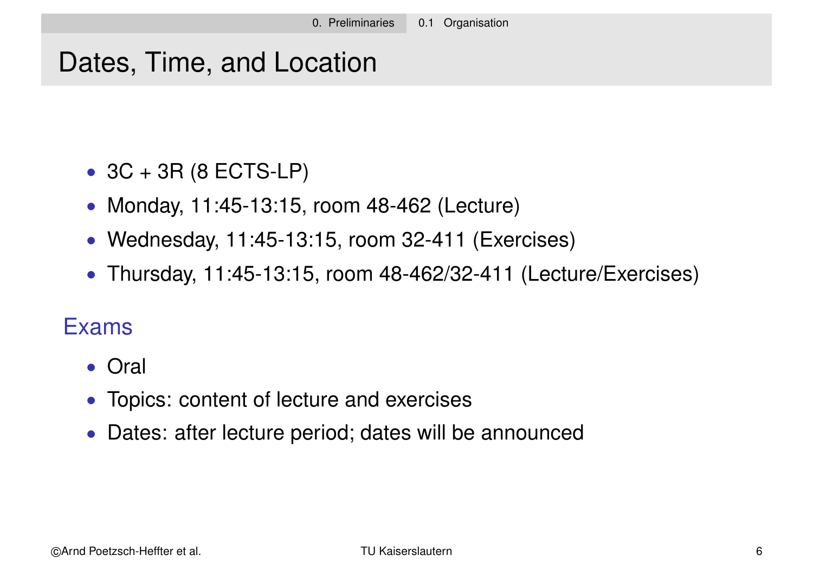# Dates, Time, and Location

- $\bullet$  3C + 3R (8 ECTS-LP)
- Monday, 11:45-13:15, room 48-462 (Lecture)
- Wednesday, 11:45-13:15, room 32-411 (Exercises)
- Thursday, 11:45-13:15, room 48-462/32-411 (Lecture/Exercises)

#### Exams

- Oral
- Topics: content of lecture and exercises
- Dates: after lecture period; dates will be announced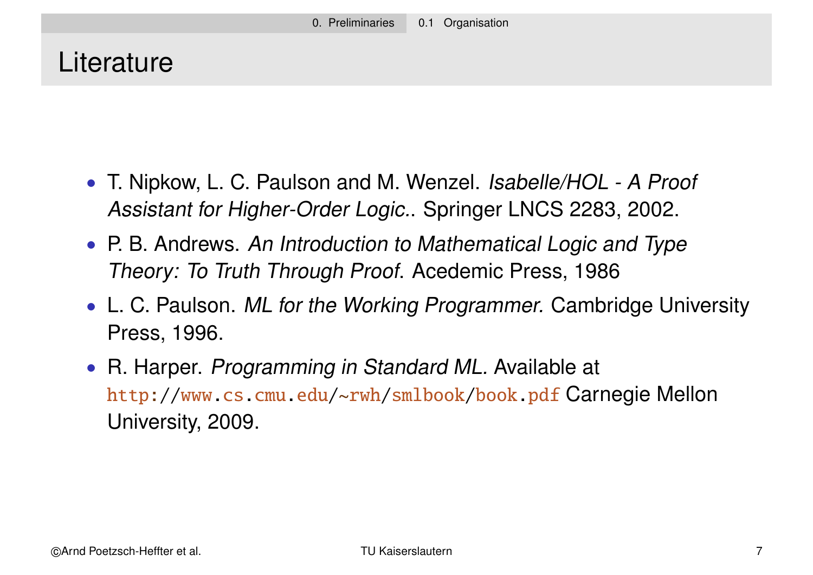# **Literature**

- T. Nipkow, L. C. Paulson and M. Wenzel. Isabelle/HOL A Proof Assistant for Higher-Order Logic.. Springer LNCS 2283, 2002.
- P. B. Andrews. An Introduction to Mathematical Logic and Type Theory: To Truth Through Proof. Acedemic Press, 1986
- L. C. Paulson. ML for the Working Programmer. Cambridge University Press, 1996.
- R. Harper. Programming in Standard ML. Available at http://www.cs.cmu.edu/~rwh/smlbook/book.pdf Carnegie Mellon University, 2009.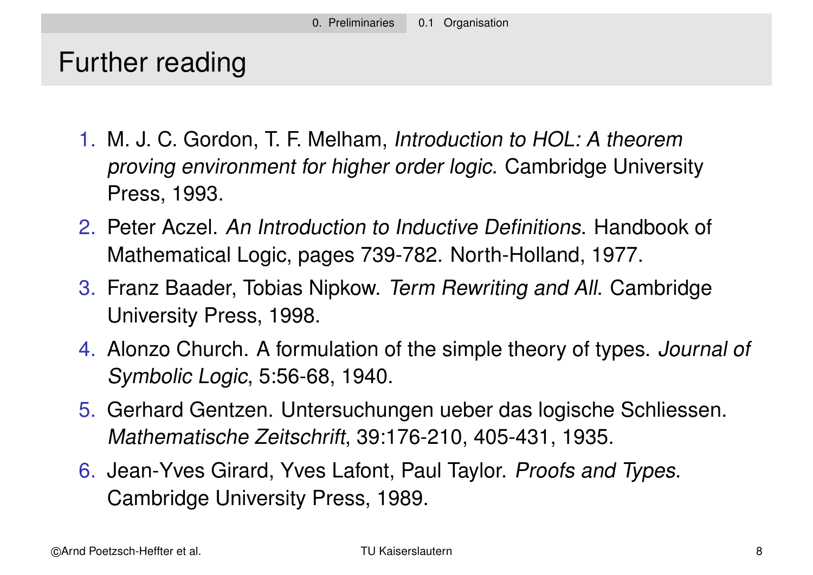# Further reading

- 1. M. J. C. Gordon, T. F. Melham, Introduction to HOL: A theorem proving environment for higher order logic. Cambridge University Press, 1993.
- 2. Peter Aczel. An Introduction to Inductive Definitions. Handbook of Mathematical Logic, pages 739-782. North-Holland, 1977.
- 3. Franz Baader, Tobias Nipkow. Term Rewriting and All. Cambridge University Press, 1998.
- 4. Alonzo Church. A formulation of the simple theory of types. Journal of Symbolic Logic, 5:56-68, 1940.
- 5. Gerhard Gentzen. Untersuchungen ueber das logische Schliessen. Mathematische Zeitschrift, 39:176-210, 405-431, 1935.
- 6. Jean-Yves Girard, Yves Lafont, Paul Taylor. Proofs and Types. Cambridge University Press, 1989.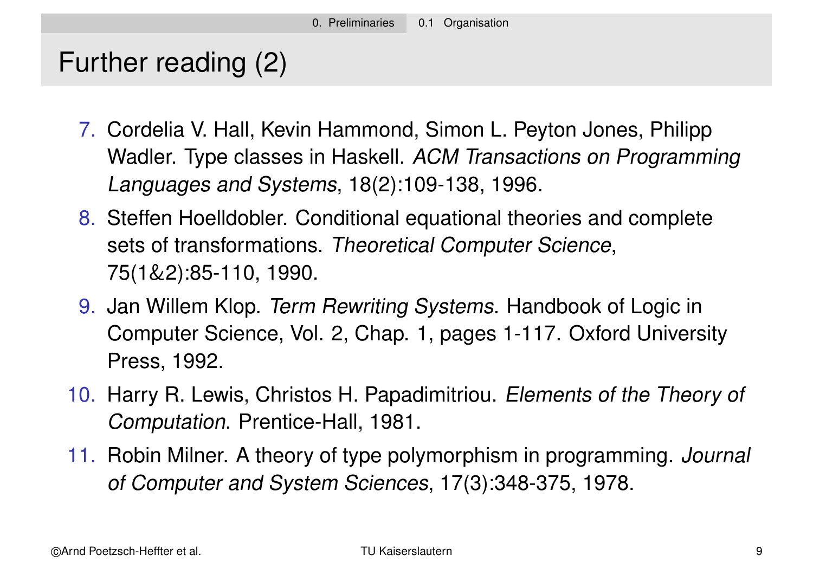# Further reading (2)

- 7. Cordelia V. Hall, Kevin Hammond, Simon L. Peyton Jones, Philipp Wadler. Type classes in Haskell. ACM Transactions on Programming Languages and Systems, 18(2):109-138, 1996.
- 8. Steffen Hoelldobler. Conditional equational theories and complete sets of transformations. Theoretical Computer Science, 75(1&2):85-110, 1990.
- 9. Jan Willem Klop. Term Rewriting Systems. Handbook of Logic in Computer Science, Vol. 2, Chap. 1, pages 1-117. Oxford University Press, 1992.
- 10. Harry R. Lewis, Christos H. Papadimitriou. Elements of the Theory of Computation. Prentice-Hall, 1981.
- 11. Robin Milner. A theory of type polymorphism in programming. Journal of Computer and System Sciences, 17(3):348-375, 1978.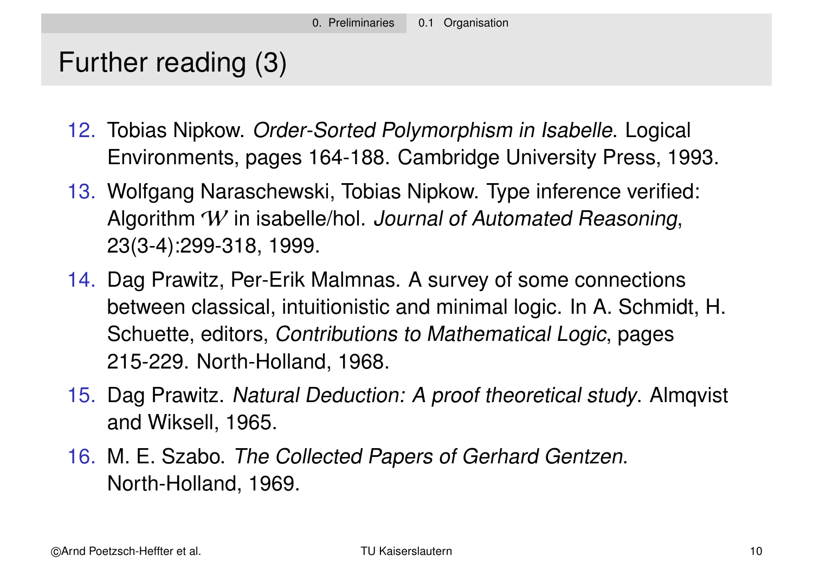# Further reading (3)

- 12. Tobias Nipkow. Order-Sorted Polymorphism in Isabelle. Logical Environments, pages 164-188. Cambridge University Press, 1993.
- 13. Wolfgang Naraschewski, Tobias Nipkow. Type inference verified: Algorithm W in isabelle/hol. Journal of Automated Reasoning, 23(3-4):299-318, 1999.
- 14. Dag Prawitz, Per-Erik Malmnas. A survey of some connections between classical, intuitionistic and minimal logic. In A. Schmidt, H. Schuette, editors, Contributions to Mathematical Logic, pages 215-229. North-Holland, 1968.
- 15. Dag Prawitz. Natural Deduction: A proof theoretical study. Almqvist and Wiksell, 1965.
- 16. M. E. Szabo. The Collected Papers of Gerhard Gentzen. North-Holland, 1969.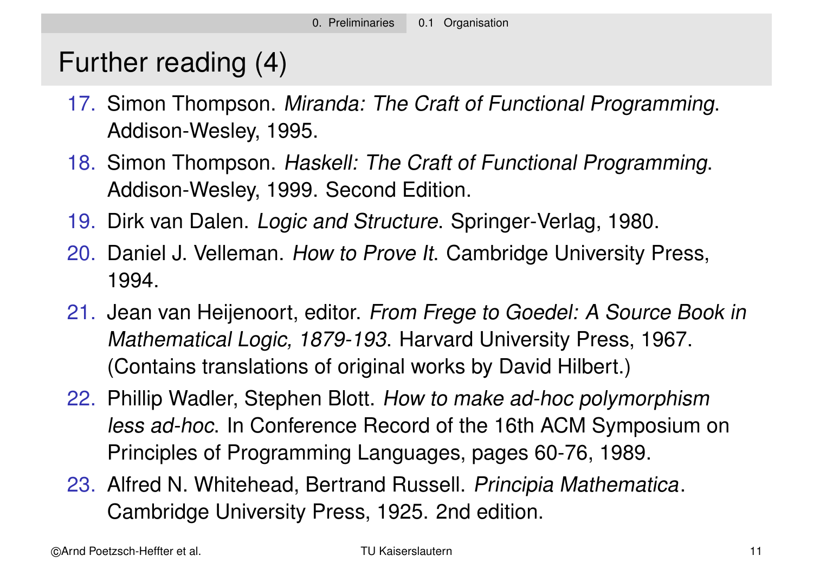# Further reading (4)

- 17. Simon Thompson. Miranda: The Craft of Functional Programming. Addison-Wesley, 1995.
- 18. Simon Thompson. Haskell: The Craft of Functional Programming. Addison-Wesley, 1999. Second Edition.
- 19. Dirk van Dalen. Logic and Structure. Springer-Verlag, 1980.
- 20. Daniel J. Velleman. How to Prove It. Cambridge University Press, 1994.
- 21. Jean van Heijenoort, editor. From Frege to Goedel: A Source Book in Mathematical Logic, 1879-193. Harvard University Press, 1967. (Contains translations of original works by David Hilbert.)
- 22. Phillip Wadler, Stephen Blott. How to make ad-hoc polymorphism less ad-hoc. In Conference Record of the 16th ACM Symposium on Principles of Programming Languages, pages 60-76, 1989.
- 23. Alfred N. Whitehead, Bertrand Russell. Principia Mathematica. Cambridge University Press, 1925. 2nd edition.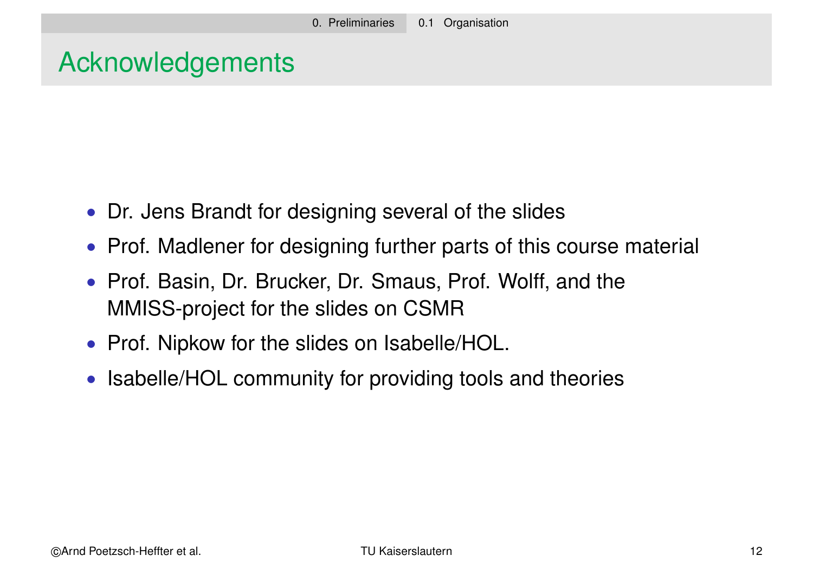# Acknowledgements

- Dr. Jens Brandt for designing several of the slides
- Prof. Madlener for designing further parts of this course material
- Prof. Basin, Dr. Brucker, Dr. Smaus, Prof. Wolff, and the MMISS-project for the slides on CSMR
- Prof. Nipkow for the slides on Isabelle/HOL.
- Isabelle/HOL community for providing tools and theories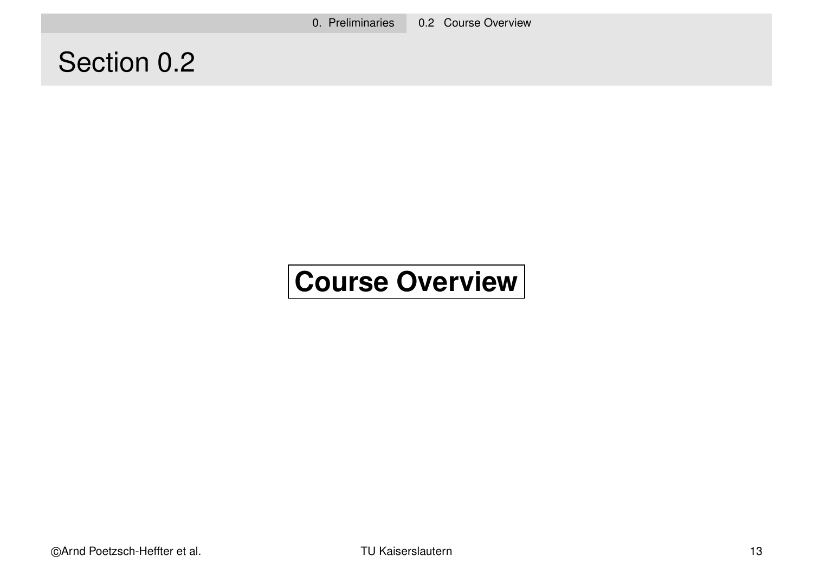0. Preliminaries 0.2 Course Overview

# Section 0.2

# **Course Overview**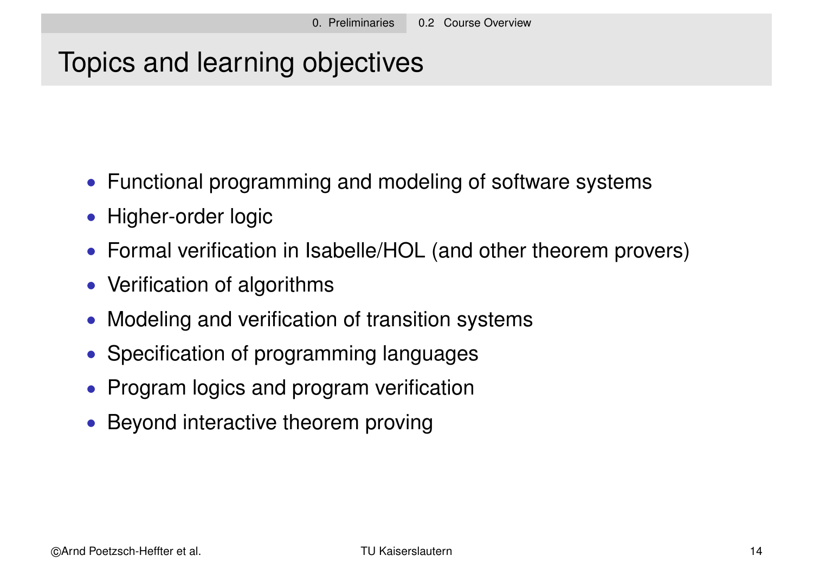# Topics and learning objectives

- Functional programming and modeling of software systems
- Higher-order logic
- Formal verification in Isabelle/HOL (and other theorem provers)
- Verification of algorithms
- Modeling and verification of transition systems
- Specification of programming languages
- Program logics and program verification
- Beyond interactive theorem proving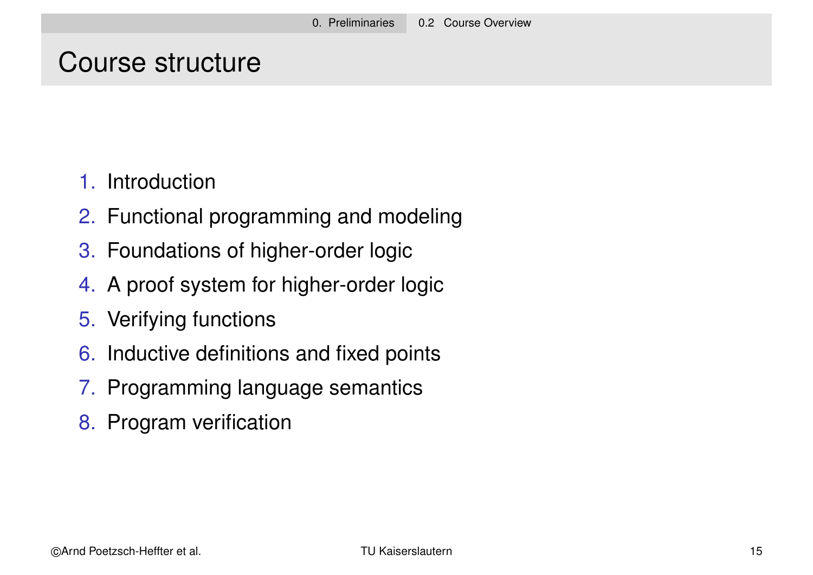#### Course structure

- 1. Introduction
- 2. Functional programming and modeling
- 3. Foundations of higher-order logic
- 4. A proof system for higher-order logic
- 5. Verifying functions
- 6. Inductive definitions and fixed points
- 7. Programming language semantics
- 8. Program verification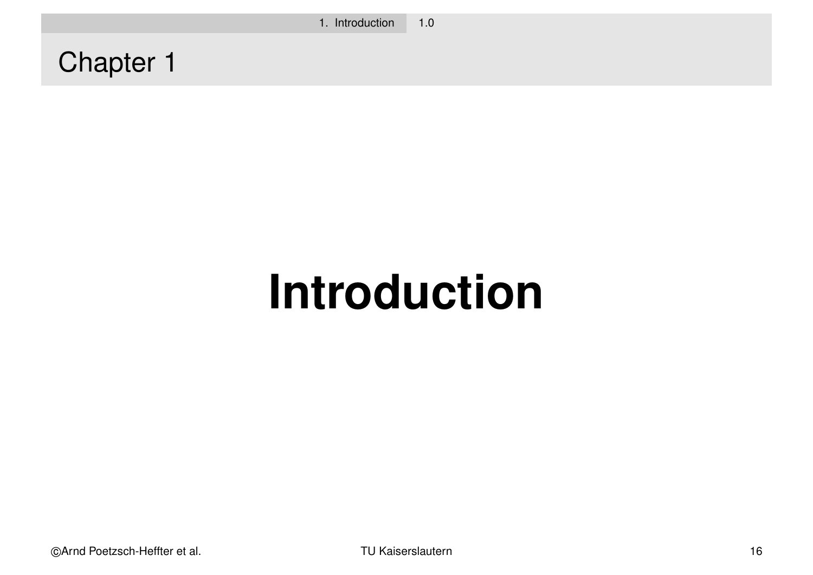Chapter 1

# **Introduction**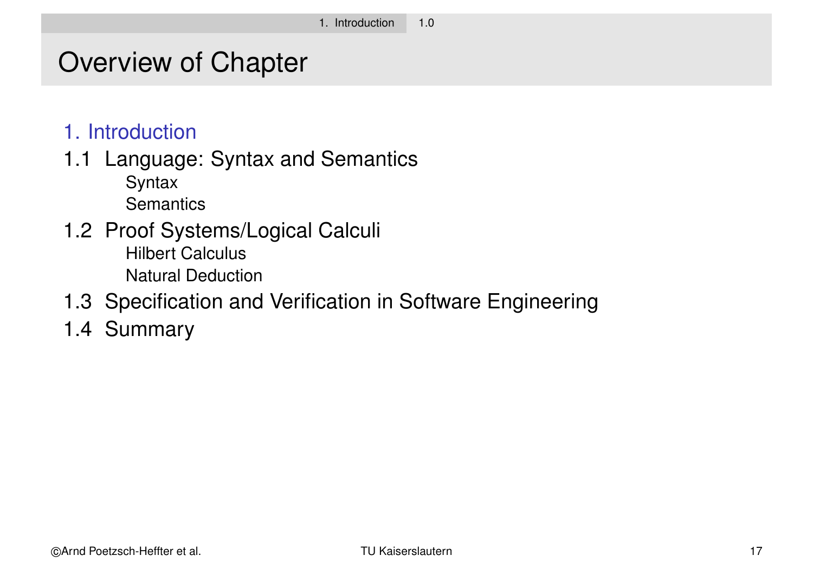# Overview of Chapter

- 1. Introduction
- 1.1 Language: Syntax and Semantics
	- **Syntax Semantics**
- 1.2 Proof Systems/Logical Calculi Hilbert Calculus Natural Deduction
- 1.3 Specification and Verification in Software Engineering
- 1.4 Summary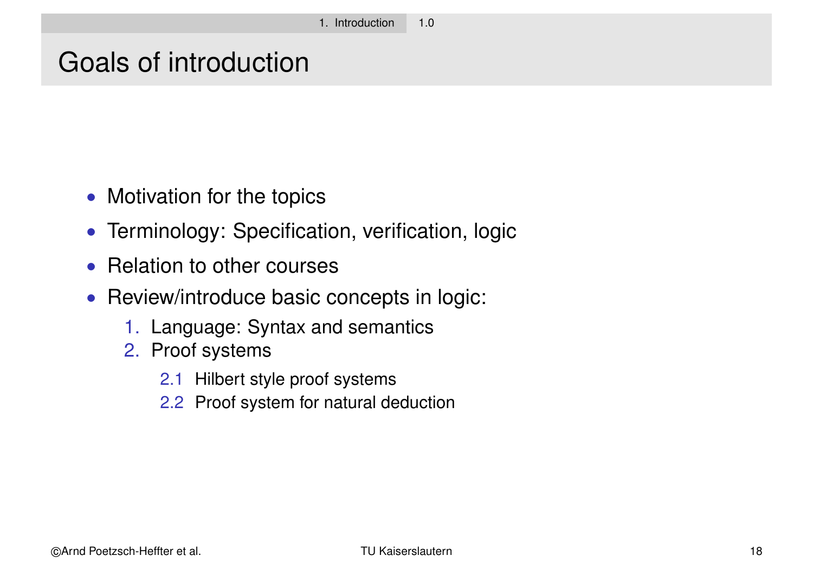#### Goals of introduction

- Motivation for the topics
- Terminology: Specification, verification, logic
- Relation to other courses
- Review/introduce basic concepts in logic:
	- 1. Language: Syntax and semantics
	- 2. Proof systems
		- 2.1 Hilbert style proof systems
		- 2.2 Proof system for natural deduction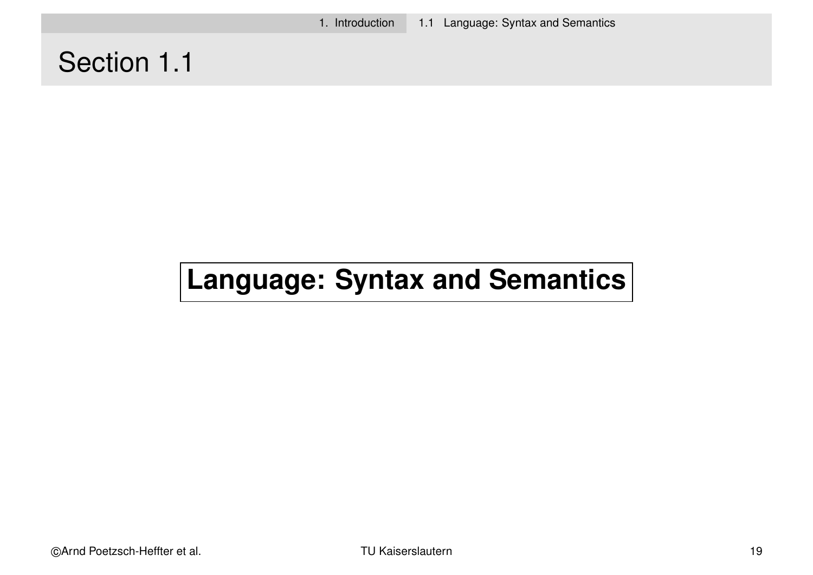1. Introduction 1.1 Language: Syntax and Semantics

# Section 1.1

# **Language: Syntax and Semantics**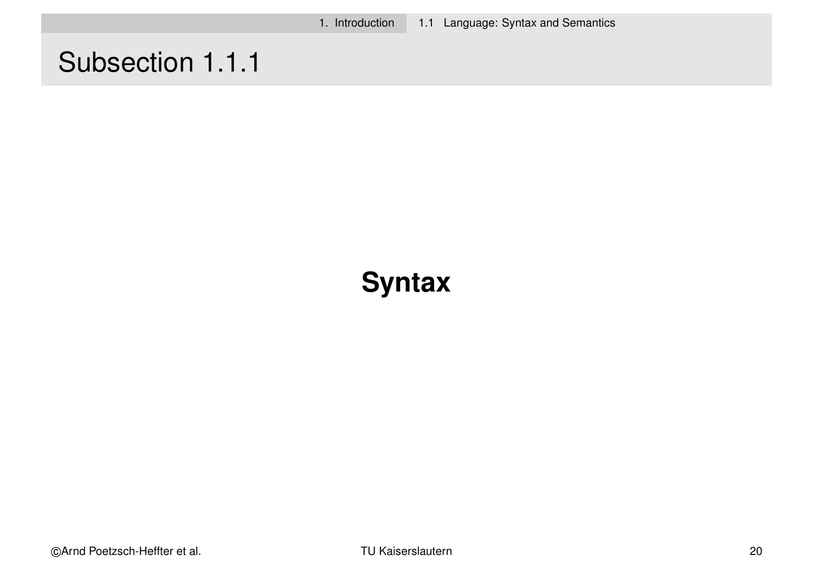1. Introduction 1.1 Language: Syntax and Semantics

# Subsection 1.1.1

# **Syntax**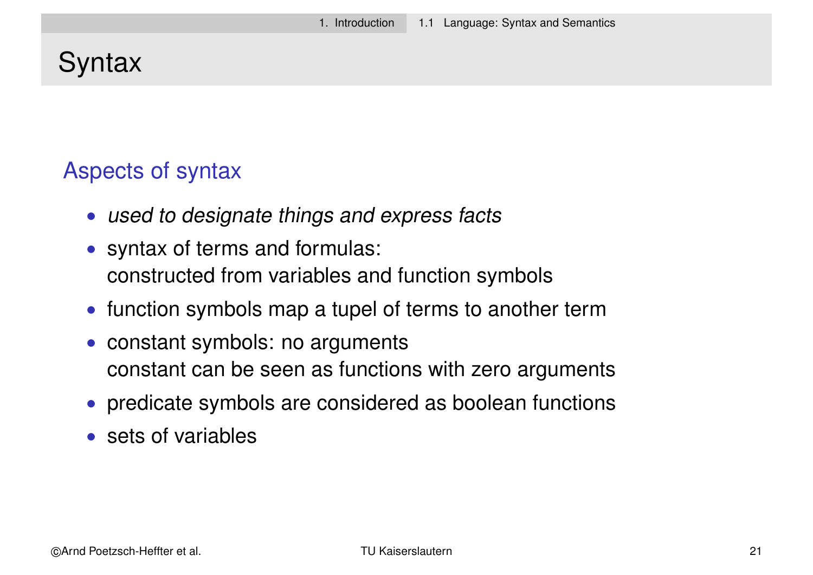# **Syntax**

#### Aspects of syntax

- used to designate things and express facts
- syntax of terms and formulas: constructed from variables and function symbols
- function symbols map a tupel of terms to another term
- constant symbols: no arguments constant can be seen as functions with zero arguments
- predicate symbols are considered as boolean functions
- sets of variables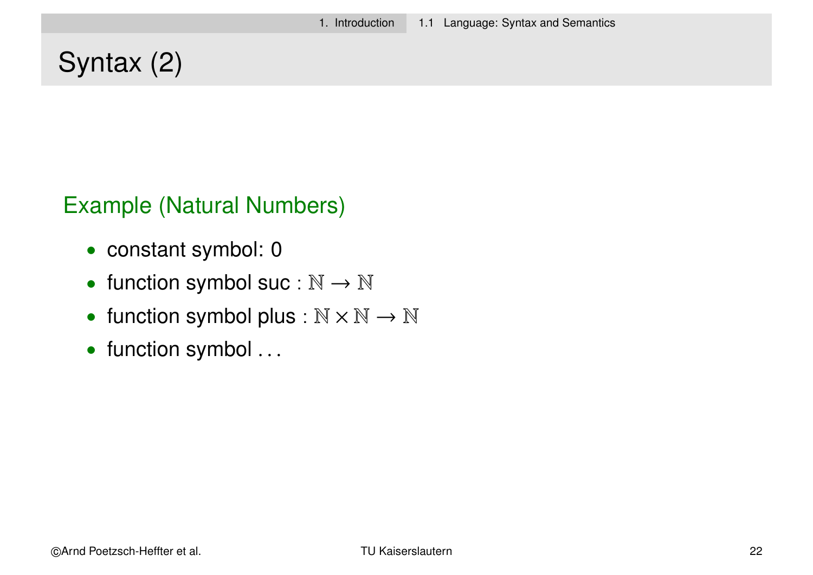# Syntax (2)

#### Example (Natural Numbers)

- constant symbol: 0
- function symbol suc :  $\mathbb{N} \to \mathbb{N}$
- function symbol plus :  $\mathbb{N} \times \mathbb{N} \to \mathbb{N}$
- function symbol ...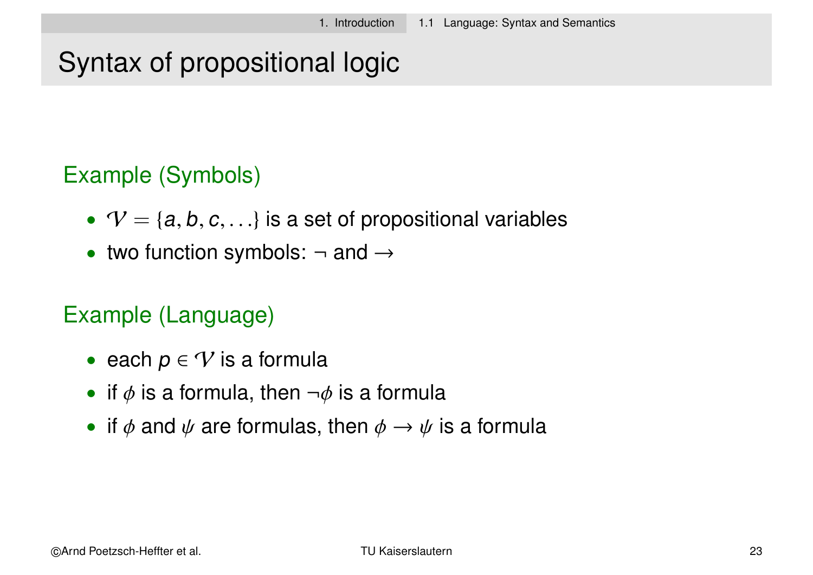# Syntax of propositional logic

#### Example (Symbols)

- $V = \{a, b, c, \ldots\}$  is a set of propositional variables
- two function symbols:  $\neg$  and  $\rightarrow$

#### Example (Language)

- each  $p \in V$  is a formula
- if  $\phi$  is a formula, then  $\neg \phi$  is a formula
- if  $\phi$  and  $\psi$  are formulas, then  $\phi \rightarrow \psi$  is a formula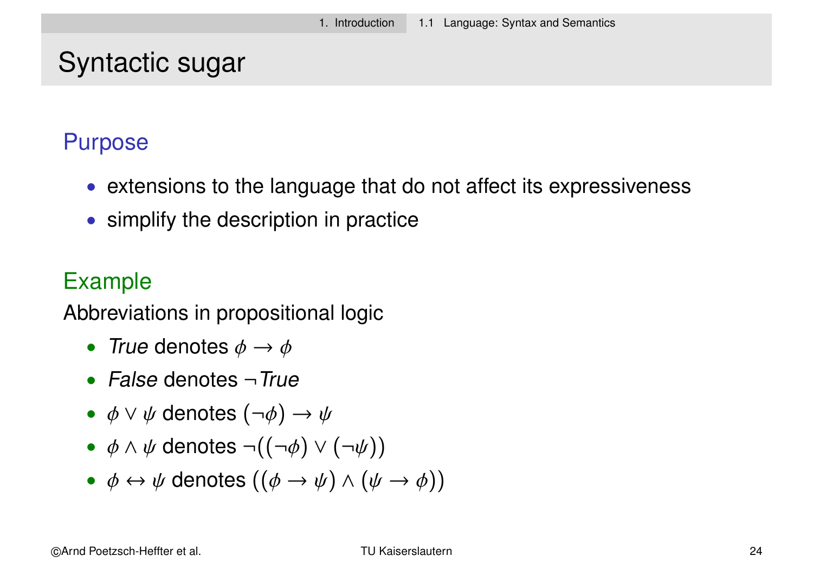#### Syntactic sugar

#### Purpose

- extensions to the language that do not affect its expressiveness
- simplify the description in practice

#### Example

Abbreviations in propositional logic

- True denotes  $\phi \rightarrow \phi$
- False denotes  $\neg True$
- $\phi \lor \psi$  denotes  $(\neg \phi) \rightarrow \psi$
- $\phi \land \psi$  denotes  $\neg((\neg \phi) \lor (\neg \psi))$
- $\phi \leftrightarrow \psi$  denotes  $((\phi \rightarrow \psi) \land (\psi \rightarrow \phi))$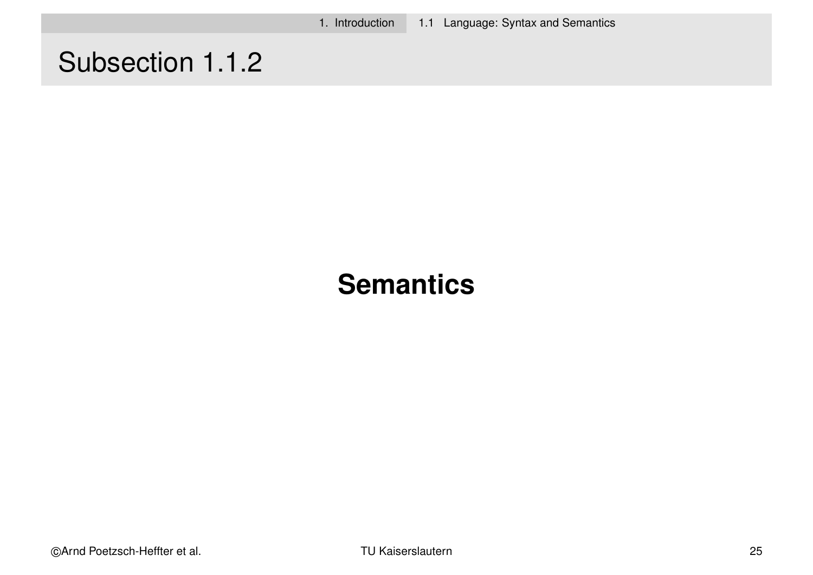1. Introduction 1.1 Language: Syntax and Semantics

# Subsection 1.1.2

# **Semantics**

©Arnd Poetzsch-Heffter et al. TU Kaiserslautern 25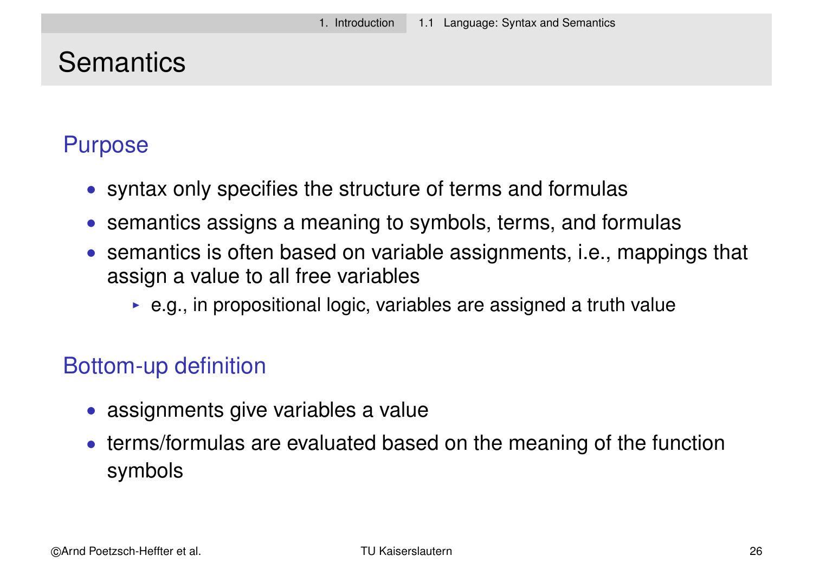# **Semantics**

#### Purpose

- syntax only specifies the structure of terms and formulas
- semantics assigns a meaning to symbols, terms, and formulas
- semantics is often based on variable assignments, i.e., mappings that assign a value to all free variables
	- $\triangleright$  e.g., in propositional logic, variables are assigned a truth value

#### Bottom-up definition

- assignments give variables a value
- terms/formulas are evaluated based on the meaning of the function symbols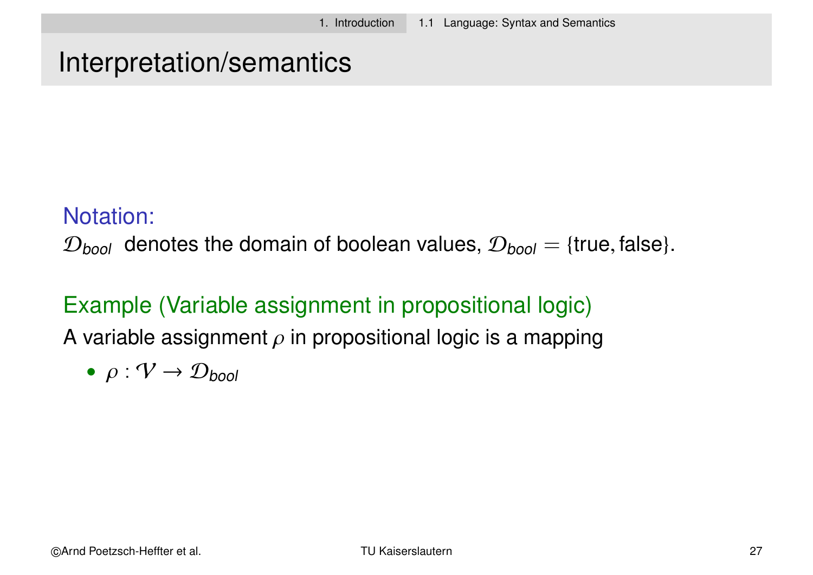#### Interpretation/semantics

#### Notation:

 $\mathcal{D}_{bool}$  denotes the domain of boolean values,  $\mathcal{D}_{bool} = \{true, false\}.$ 

#### Example (Variable assignment in propositional logic)

A variable assignment  $\rho$  in propositional logic is a mapping

$$
\bullet \ \rho: \mathcal{V} \to \mathcal{D}_{bool}
$$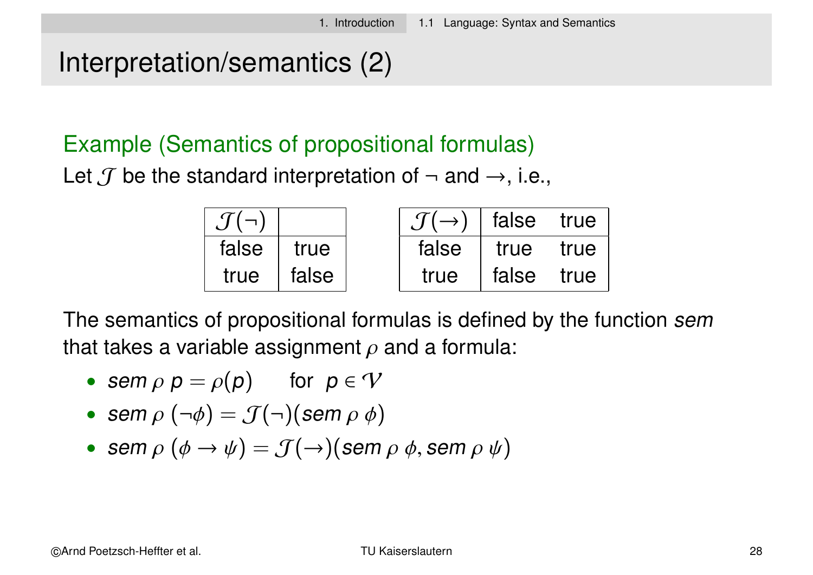# Interpretation/semantics (2)

#### Example (Semantics of propositional formulas)

Let  $\mathcal J$  be the standard interpretation of  $\neg$  and  $\rightarrow$ , i.e.,

| $\mathcal{J}(\neg)$ |       | $\mathcal{J}(\rightarrow)$ false true |       |      |
|---------------------|-------|---------------------------------------|-------|------|
| false               | true  | false                                 | true  | true |
| true                | false | true                                  | false | true |

The semantics of propositional formulas is defined by the function sem that takes a variable assignment  $\rho$  and a formula:

- sem  $\rho$   $p = \rho(p)$  for  $p \in V$
- sem  $\rho(\neg\phi) = \mathcal{J}(\neg)(\text{sem }\rho \phi)$
- sem  $\rho$   $(\phi \rightarrow \psi) = \mathcal{J}(\rightarrow)$ (sem  $\rho \phi$ , sem  $\rho \psi$ )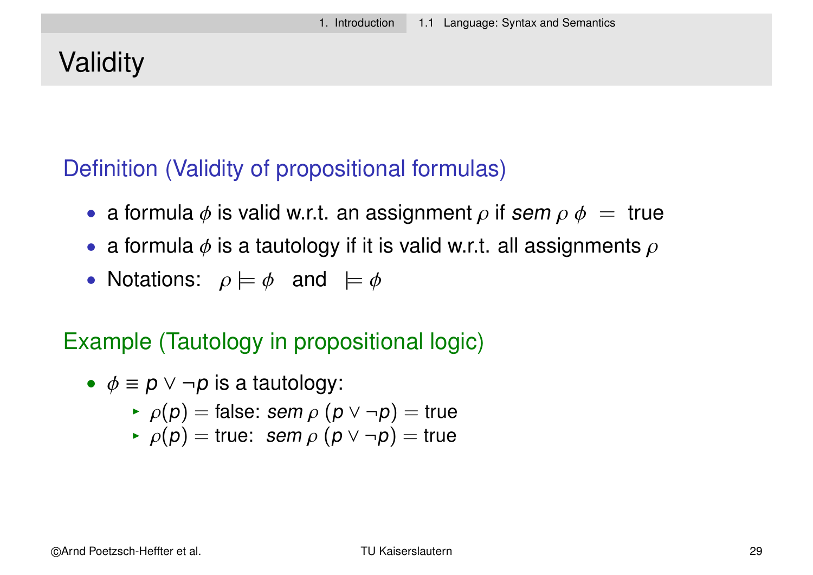# **Validity**

#### Definition (Validity of propositional formulas)

- a formula  $\phi$  is valid w.r.t. an assignment  $\rho$  if sem  $\rho$   $\phi =$  true
- a formula  $\phi$  is a tautology if it is valid w.r.t. all assignments  $\rho$
- Notations:  $\rho \models \phi$  and  $\models \phi$

#### Example (Tautology in propositional logic)

- $\phi \equiv p \lor \neg p$  is a tautology:
	- $\rho(p)$  = false: sem  $\rho$  ( $p \vee \neg p$ ) = true
	- $\rho(p)$  = true: sem  $\rho$  ( $p \vee \neg p$ ) = true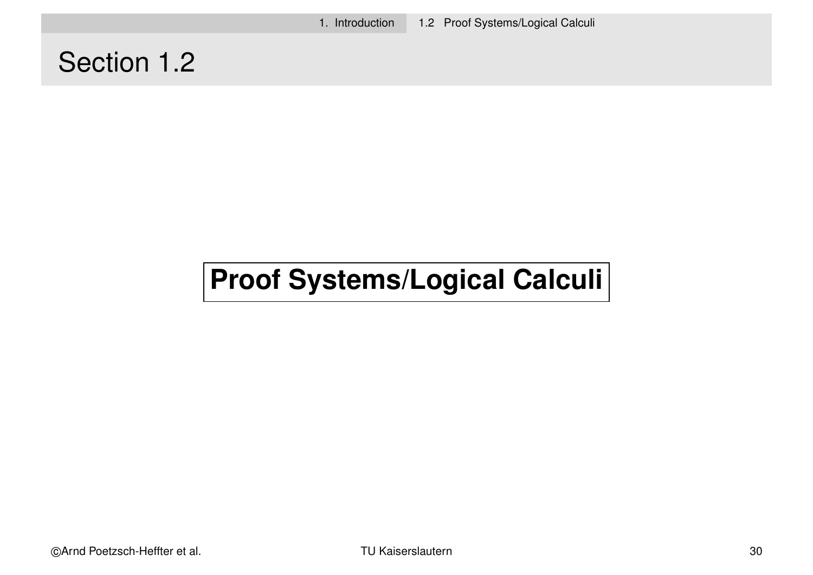1. Introduction 1.2 Proof Systems/Logical Calculi

# Section 1.2

# **Proof Systems/Logical Calculi**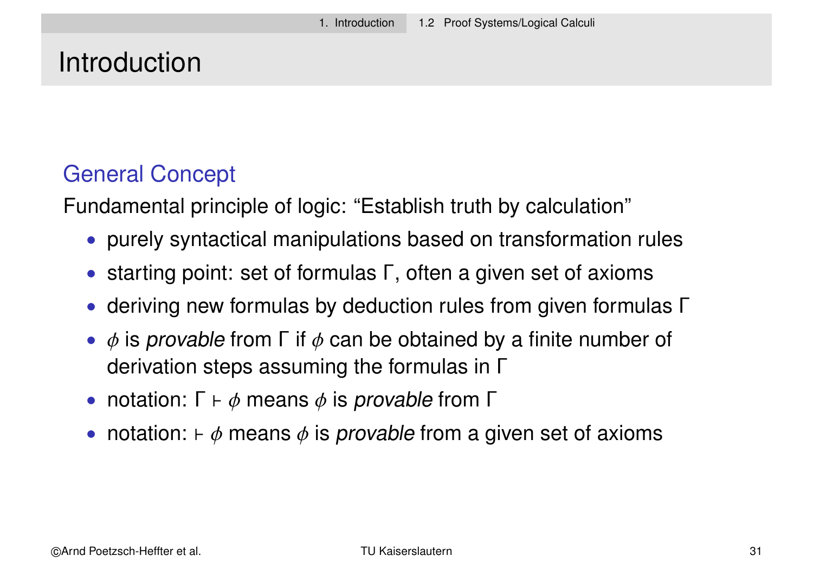#### Introduction

#### General Concept

Fundamental principle of logic: "Establish truth by calculation"

- purely syntactical manipulations based on transformation rules
- starting point: set of formulas Γ, often a given set of axioms
- deriving new formulas by deduction rules from given formulas Γ
- $\phi$  is provable from  $\Gamma$  if  $\phi$  can be obtained by a finite number of derivation steps assuming the formulas in Γ
- notation:  $\Gamma \vdash \phi$  means  $\phi$  is provable from  $\Gamma$
- notation:  $\vdash \phi$  means  $\phi$  is provable from a given set of axioms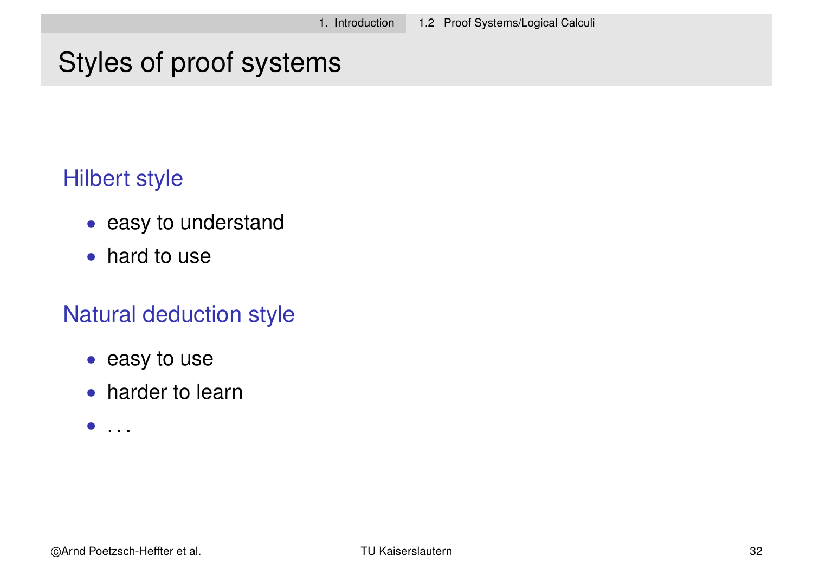# Styles of proof systems

#### Hilbert style

- easy to understand
- hard to use

#### Natural deduction style

- easy to use
- harder to learn
- $\bullet$  . . .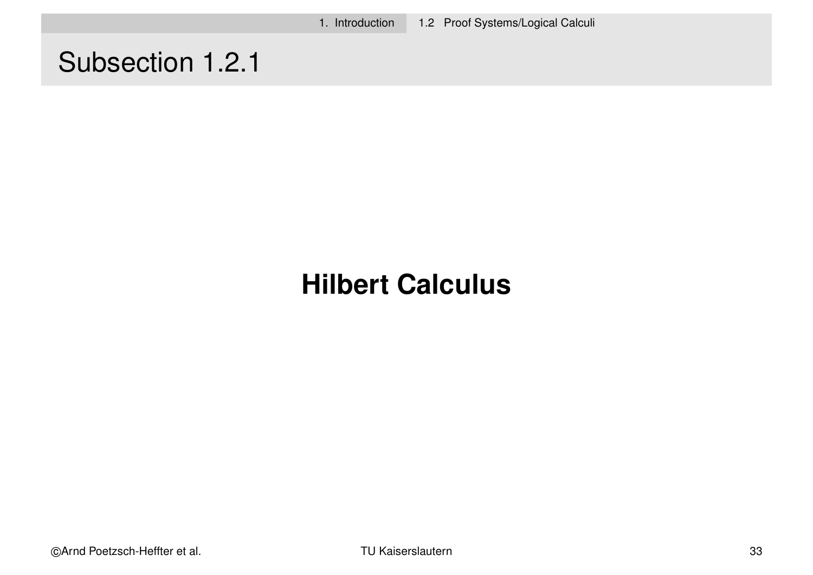1. Introduction 1.2 Proof Systems/Logical Calculi

# Subsection 1.2.1

# **Hilbert Calculus**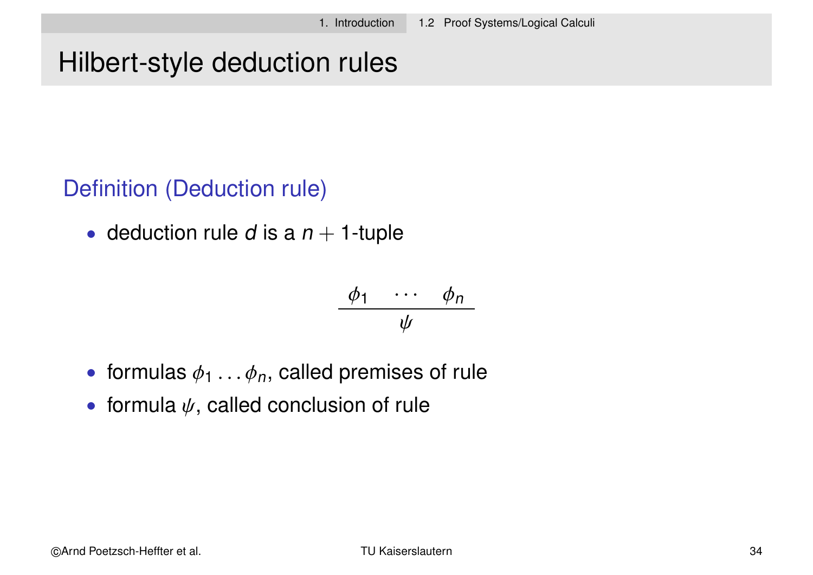# Hilbert-style deduction rules

#### Definition (Deduction rule)

• deduction rule *d* is a  $n + 1$ -tuple

$$
\frac{\phi_1 \cdots \phi_n}{\psi}
$$

- formulas  $\phi_1 \ldots \phi_n$ , called premises of rule
- formula  $\psi$ , called conclusion of rule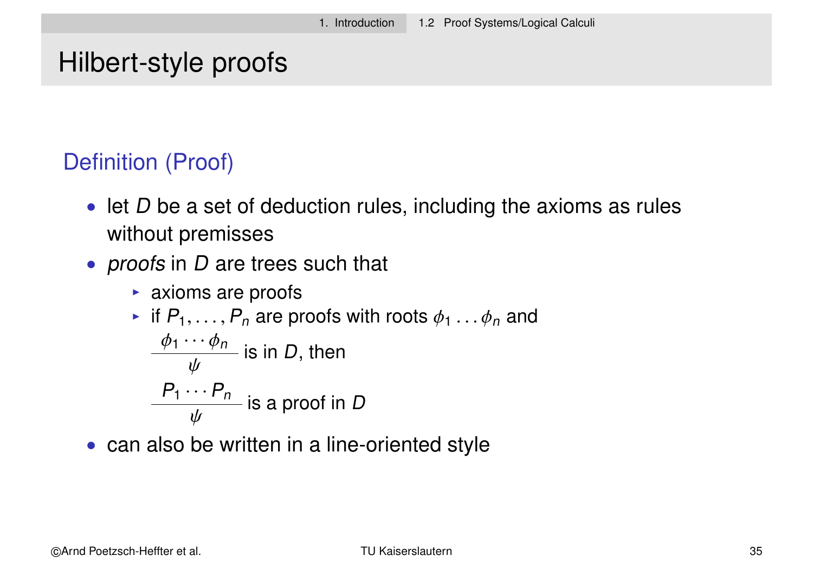#### Hilbert-style proofs

#### Definition (Proof)

- let  $D$  be a set of deduction rules, including the axioms as rules without premisses
- *proofs* in *D* are trees such that
	- $\triangleright$  axioms are proofs

\n- if 
$$
P_1, \ldots, P_n
$$
 are proofs with roots  $\phi_1 \ldots \phi_n$  and  $\phi_1 \cdots \phi_n$  is in *D*, then
\n- $\frac{P_1 \cdots P_n}{\psi}$  is a proof in *D*
\n

• can also be written in a line-oriented style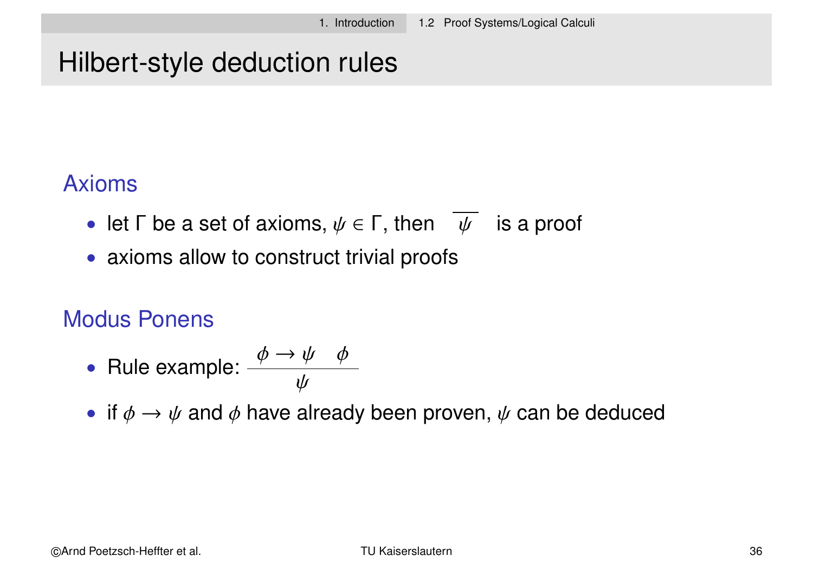# Hilbert-style deduction rules

#### Axioms

- let  $\Gamma$  be a set of axioms,  $\psi \in \Gamma$ , then  $\psi$  is a proof
- axioms allow to construct trivial proofs

#### Modus Ponens

• Rule example: 
$$
\frac{\phi \rightarrow \psi \quad \phi}{\psi}
$$

• if  $\phi \rightarrow \psi$  and  $\phi$  have already been proven,  $\psi$  can be deduced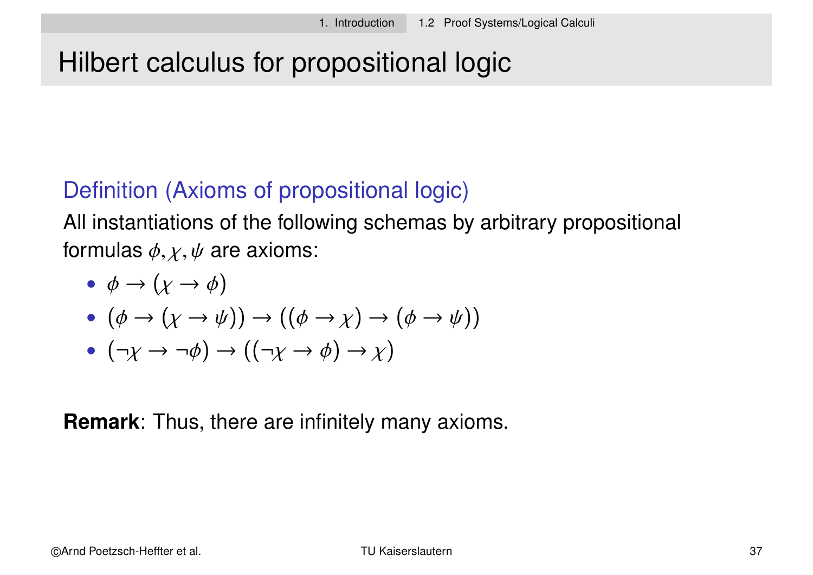# Hilbert calculus for propositional logic

#### Definition (Axioms of propositional logic)

All instantiations of the following schemas by arbitrary propositional formulas  $\phi$ ,  $\chi$ ,  $\psi$  are axioms:

 $\bullet \phi \rightarrow (\chi \rightarrow \phi)$ 

$$
\bullet \ (\phi \to (\chi \to \psi)) \to ((\phi \to \chi) \to (\phi \to \psi))
$$

$$
\bullet \ (\neg \chi \to \neg \phi) \to ((\neg \chi \to \phi) \to \chi)
$$

**Remark**: Thus, there are infinitely many axioms.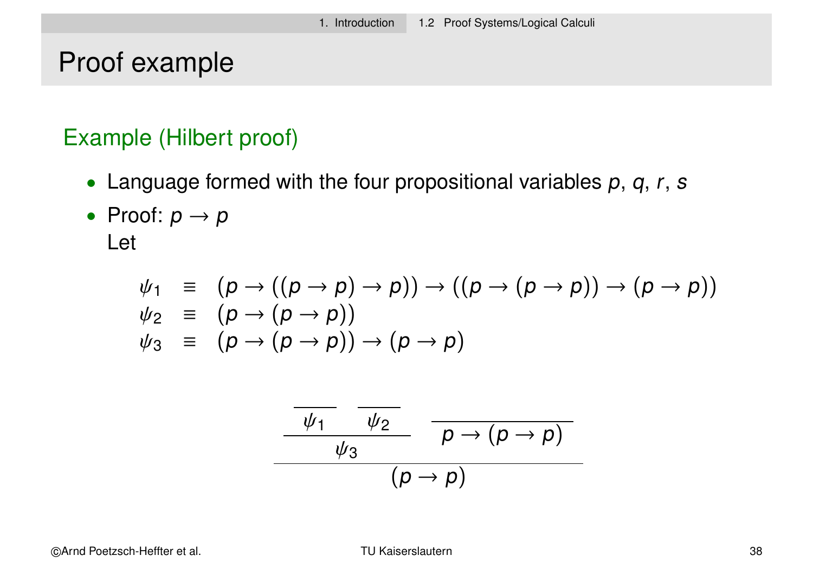#### Proof example

#### Example (Hilbert proof)

- Language formed with the four propositional variables  $p$ ,  $q$ ,  $r$ ,  $s$
- Proof:  $p \rightarrow p$ Let

$$
\psi_1 \equiv (p \rightarrow ((p \rightarrow p) \rightarrow p)) \rightarrow ((p \rightarrow (p \rightarrow p)) \rightarrow (p \rightarrow p))
$$
  
\n
$$
\psi_2 \equiv (p \rightarrow (p \rightarrow p))
$$
  
\n
$$
\psi_3 \equiv (p \rightarrow (p \rightarrow p)) \rightarrow (p \rightarrow p)
$$

$$
\frac{\frac{\psi_1}{\psi_2}}{\frac{\psi_3}{\psi_3}} \frac{\rho \to (\rho \to \rho)}{\rho \to (\rho \to \rho)}
$$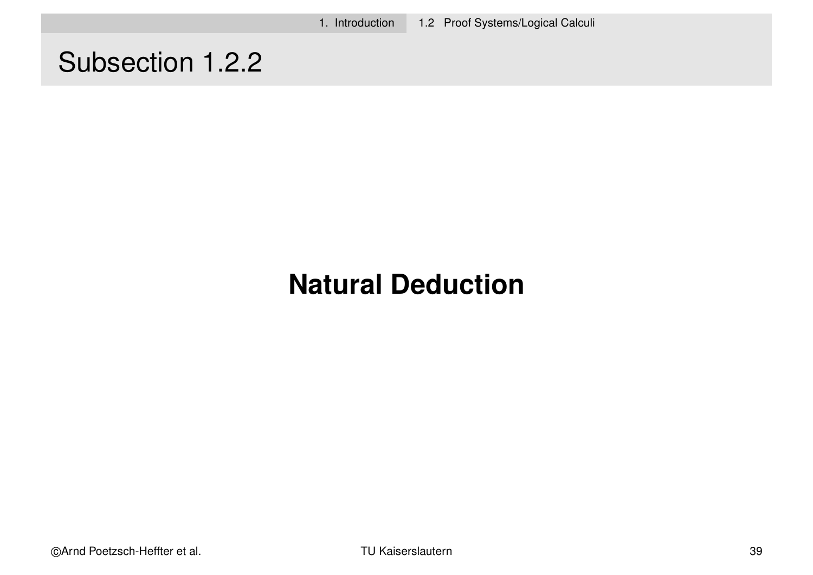1. Introduction 1.2 Proof Systems/Logical Calculi

# Subsection 1.2.2

# **Natural Deduction**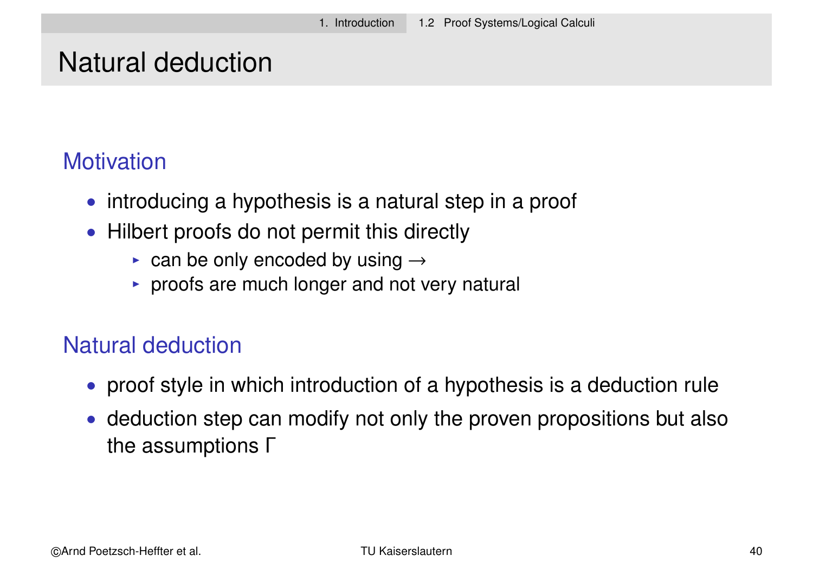#### **Motivation**

- introducing a hypothesis is a natural step in a proof
- Hilbert proofs do not permit this directly
	- $\triangleright$  can be only encoded by using  $\rightarrow$
	- $\triangleright$  proofs are much longer and not very natural

#### Natural deduction

- proof style in which introduction of a hypothesis is a deduction rule
- deduction step can modify not only the proven propositions but also the assumptions Γ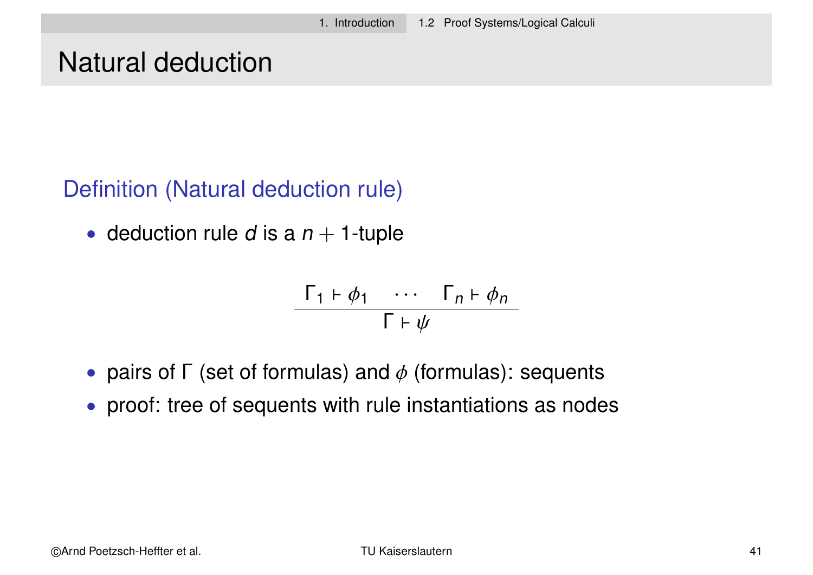#### Definition (Natural deduction rule)

• deduction rule d is a  $n + 1$ -tuple

$$
\frac{\Gamma_1 \vdash \phi_1 \cdots \Gamma_n \vdash \phi_n}{\Gamma \vdash \psi}
$$

- pairs of  $\Gamma$  (set of formulas) and  $\phi$  (formulas): sequents
- proof: tree of sequents with rule instantiations as nodes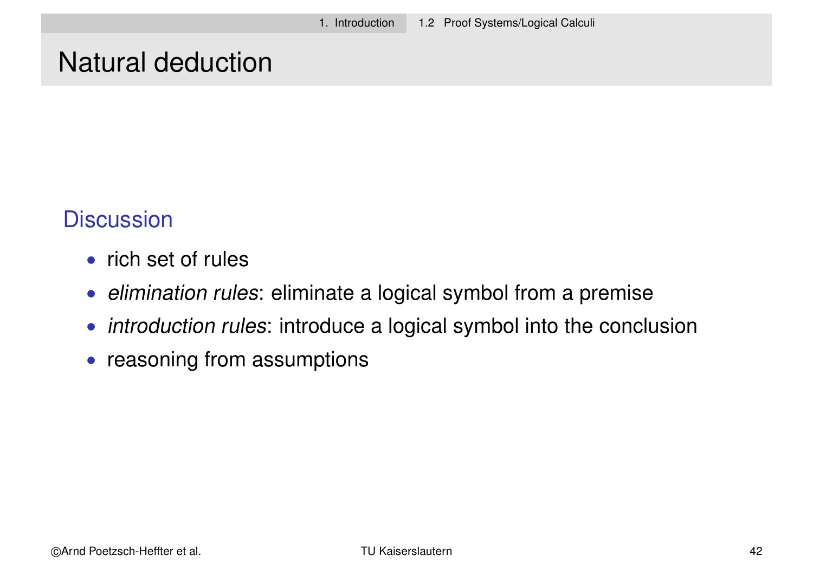#### **Discussion**

- rich set of rules
- elimination rules: eliminate a logical symbol from a premise
- *introduction rules*: introduce a logical symbol into the conclusion
- reasoning from assumptions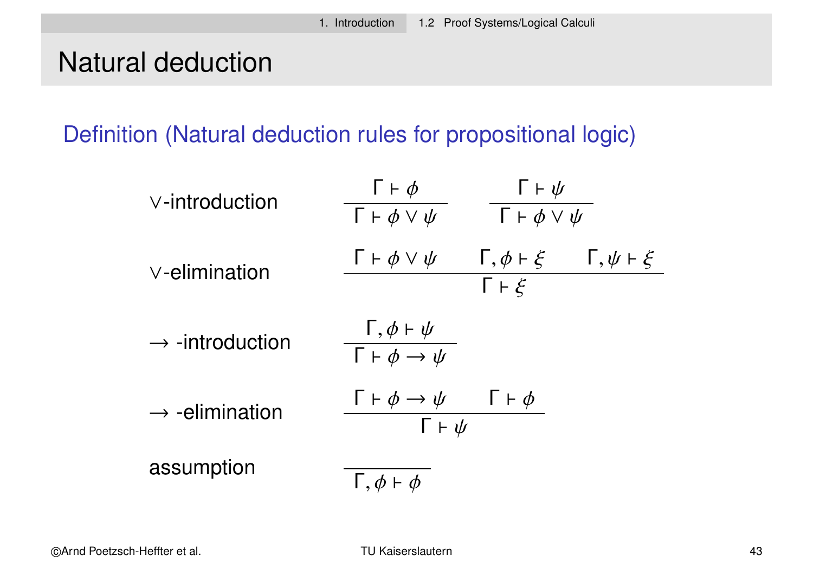Definition (Natural deduction rules for propositional logic)

| $\vee$ -introduction        | $\Gamma \vdash \phi$<br>$\Gamma \vdash \phi \lor \psi$                 | $\Gamma \vdash \psi$<br>$\overline{\Gamma}$ $\vdash \phi \lor \psi$ |                           |
|-----------------------------|------------------------------------------------------------------------|---------------------------------------------------------------------|---------------------------|
| $\vee$ -elimination         | $\Gamma \vdash \phi \lor \psi$                                         | $\Gamma, \phi \vdash \xi$<br>$\Gamma \vdash \xi$                    | $\Gamma, \psi \vdash \xi$ |
| $\rightarrow$ -introduction | $\frac{\Gamma, \phi \vdash \psi}{\Gamma \vdash \phi \rightarrow \psi}$ |                                                                     |                           |
| $\rightarrow$ -elimination  | $\Gamma \vdash \phi \rightarrow \psi$<br>$\Gamma \vdash \psi$          | $\Gamma \vdash \phi$                                                |                           |
| assumption                  | $\mathsf{I}$ , $\phi \vdash \phi$                                      |                                                                     |                           |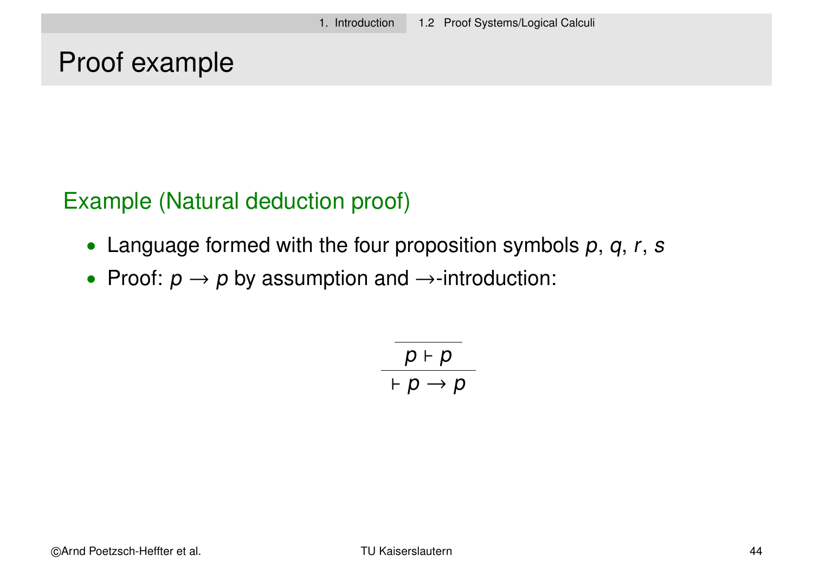#### Proof example

Example (Natural deduction proof)

- Language formed with the four proposition symbols  $p$ ,  $q$ ,  $r$ ,  $s$
- Proof:  $p \rightarrow p$  by assumption and  $\rightarrow$ -introduction:

$$
\frac{p+p}{p+p\rightarrow p}
$$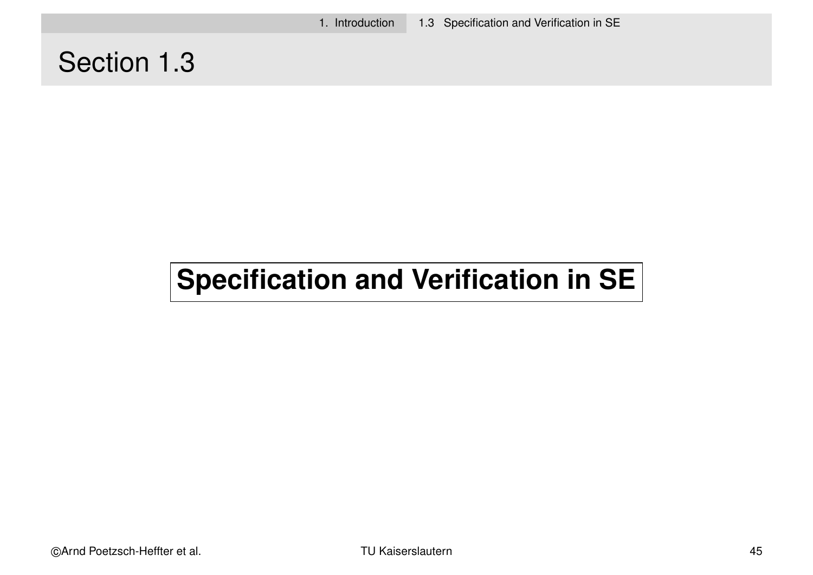1. Introduction 1.3 Specification and Verification in SE

#### Section 1.3

# **Specification and Verification in SE**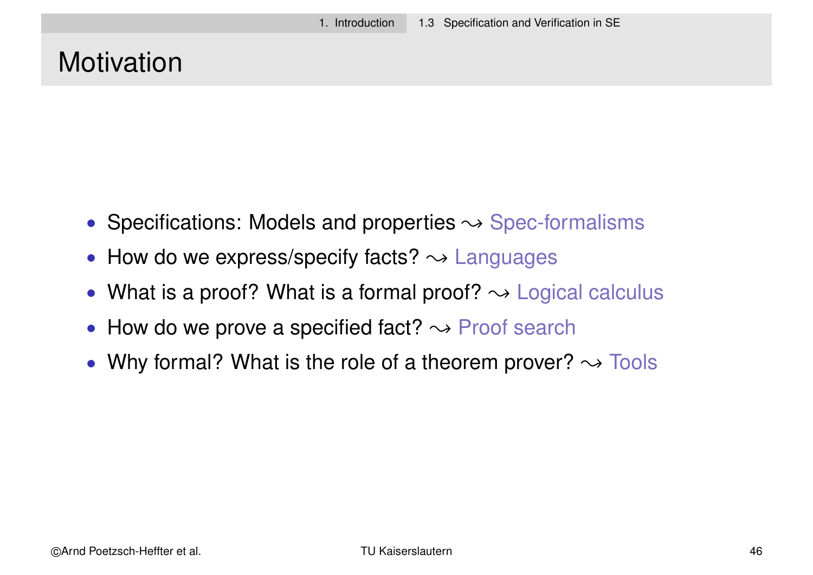# **Motivation**

- Specifications: Models and properties  $\rightsquigarrow$  Spec-formalisms
- How do we express/specify facts?  $\rightsquigarrow$  Languages
- What is a proof? What is a formal proof?  $\rightarrow$  Logical calculus
- How do we prove a specified fact?  $\rightarrow$  Proof search
- Why formal? What is the role of a theorem prover?  $\rightarrow$  Tools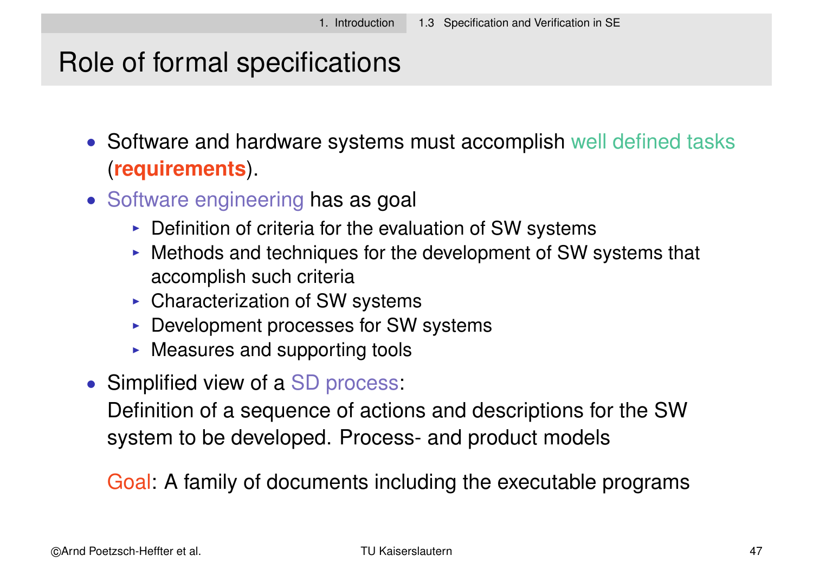# Role of formal specifications

• Software and hardware systems must accomplish well defined tasks (**requirements**).

- Software engineering has as goal
	- $\triangleright$  Definition of criteria for the evaluation of SW systems
	- $\triangleright$  Methods and techniques for the development of SW systems that accomplish such criteria
	- $\triangleright$  Characterization of SW systems
	- $\triangleright$  Development processes for SW systems
	- $\triangleright$  Measures and supporting tools
- Simplified view of a SD process:

Definition of a sequence of actions and descriptions for the SW system to be developed. Process- and product models

Goal: A family of documents including the executable programs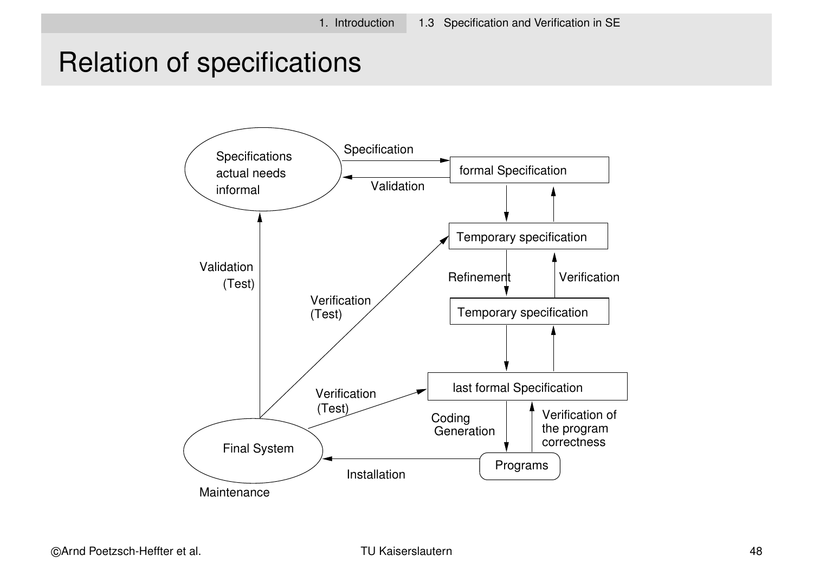# Relation of specifications

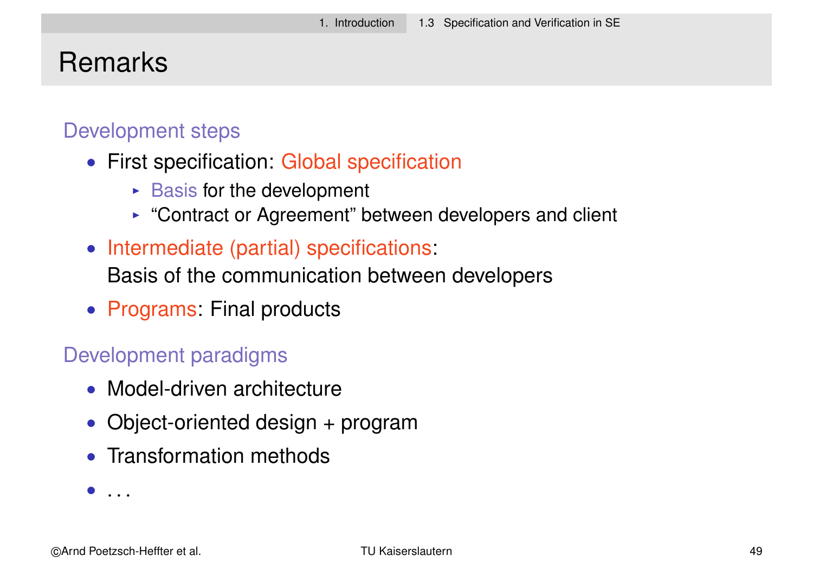#### Remarks

#### Development steps

- First specification: Global specification
	- $\triangleright$  Basis for the development
	- $\triangleright$  "Contract or Agreement" between developers and client
- Intermediate (partial) specifications:

Basis of the communication between developers

• Programs: Final products

#### Development paradigms

- Model-driven architecture
- Object-oriented design + program
- Transformation methods

 $\bullet$  ...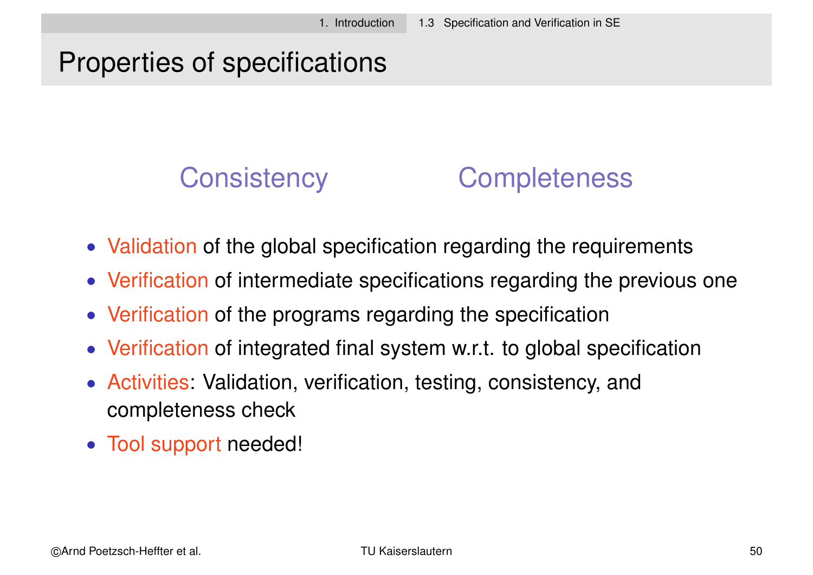# Properties of specifications

# Consistency Completeness

- Validation of the global specification regarding the requirements
- Verification of intermediate specifications regarding the previous one
- Verification of the programs regarding the specification
- Verification of integrated final system w.r.t. to global specification
- Activities: Validation, verification, testing, consistency, and completeness check
- Tool support needed!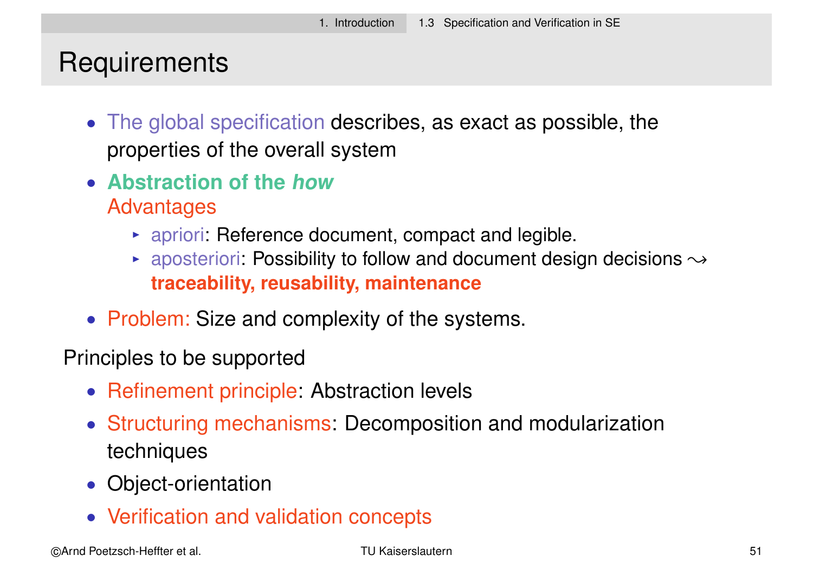# **Requirements**

- The global specification describes, as exact as possible, the properties of the overall system
- **Abstraction of the how** Advantages
	- $\rightarrow$  apriori: Reference document, compact and legible.
	- **Example 2** aposteriori: Possibility to follow and document design decisions  $\rightarrow$ **traceability, reusability, maintenance**
- Problem: Size and complexity of the systems.

Principles to be supported

- Refinement principle: Abstraction levels
- Structuring mechanisms: Decomposition and modularization techniques
- Object-orientation
- Verification and validation concepts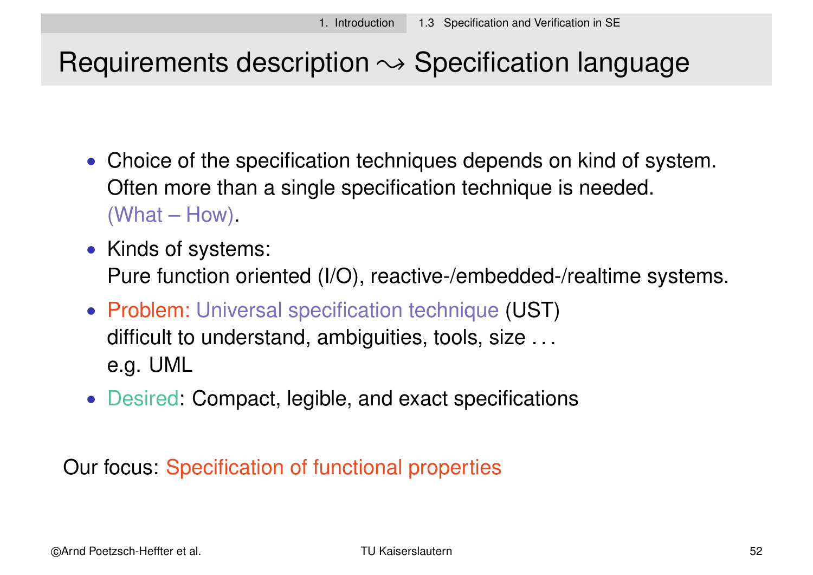# Requirements description  $\rightsquigarrow$  Specification language

- Choice of the specification techniques depends on kind of system. Often more than a single specification technique is needed. (What – How).
- Kinds of systems: Pure function oriented (I/O), reactive-/embedded-/realtime systems.
- Problem: Universal specification technique (UST) difficult to understand, ambiguities, tools, size ... e.g. UML
- Desired: Compact, legible, and exact specifications

Our focus: Specification of functional properties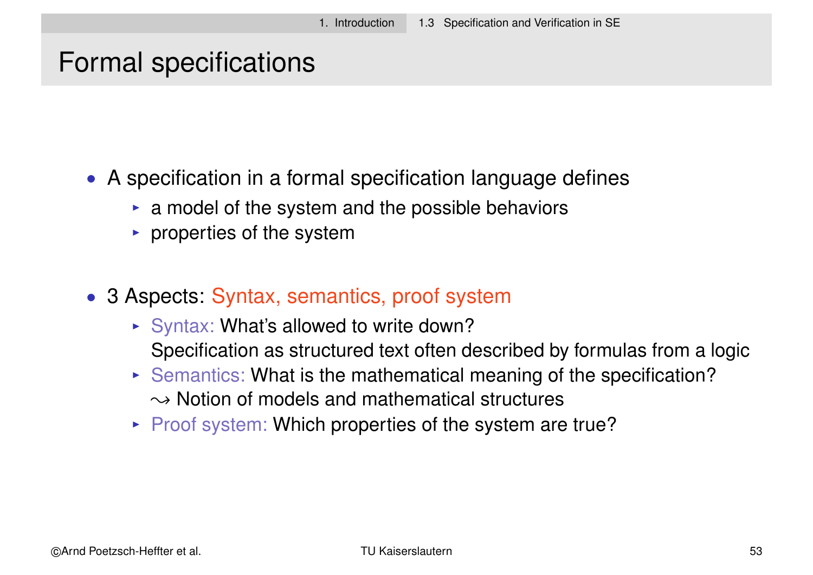#### Formal specifications

- A specification in a formal specification language defines
	- $\triangleright$  a model of the system and the possible behaviors
	- $\triangleright$  properties of the system
- 3 Aspects: Syntax, semantics, proof system
	- $\triangleright$  Syntax: What's allowed to write down? Specification as structured text often described by formulas from a logic
	- $\triangleright$  Semantics: What is the mathematical meaning of the specification?  $\rightarrow$  Notion of models and mathematical structures
	- $\triangleright$  Proof system: Which properties of the system are true?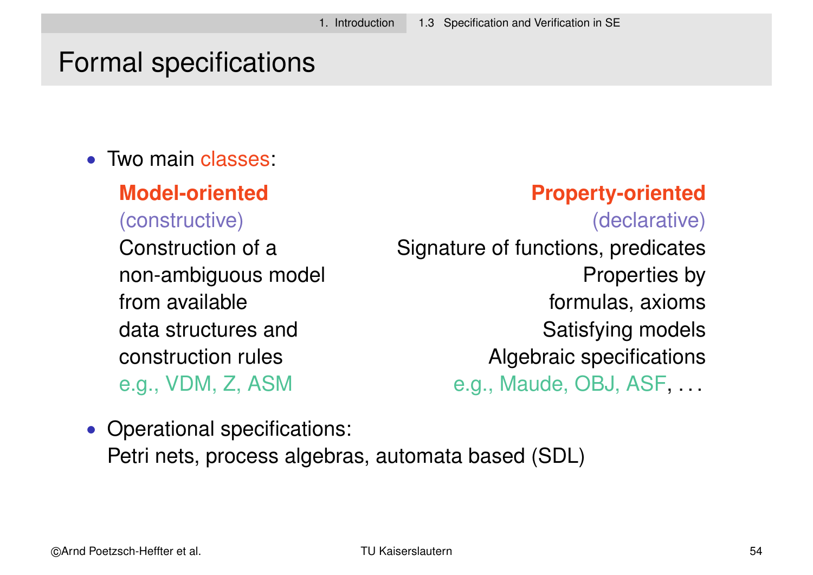# Formal specifications

• Two main classes:

#### **Model-oriented Property-oriented**

(constructive) (declarative) Construction of a Signature of functions, predicates non-ambiguous model example and Properties by from available formulas, axioms data structures and Satisfying models construction rules Algebraic specifications e.g., VDM, Z, ASM e.g., Maude, OBJ, ASF, ...

• Operational specifications: Petri nets, process algebras, automata based (SDL)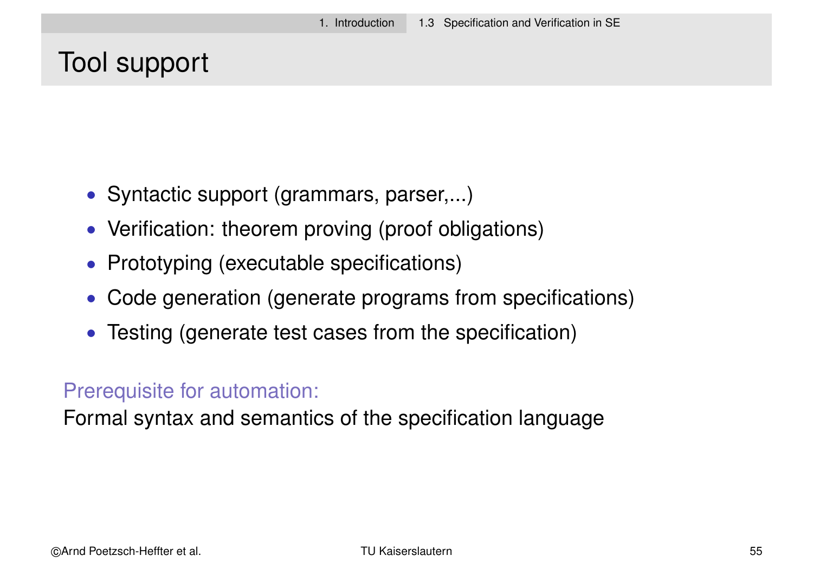#### Tool support

- Syntactic support (grammars, parser,...)
- Verification: theorem proving (proof obligations)
- Prototyping (executable specifications)
- Code generation (generate programs from specifications)
- Testing (generate test cases from the specification)

#### Prerequisite for automation:

Formal syntax and semantics of the specification language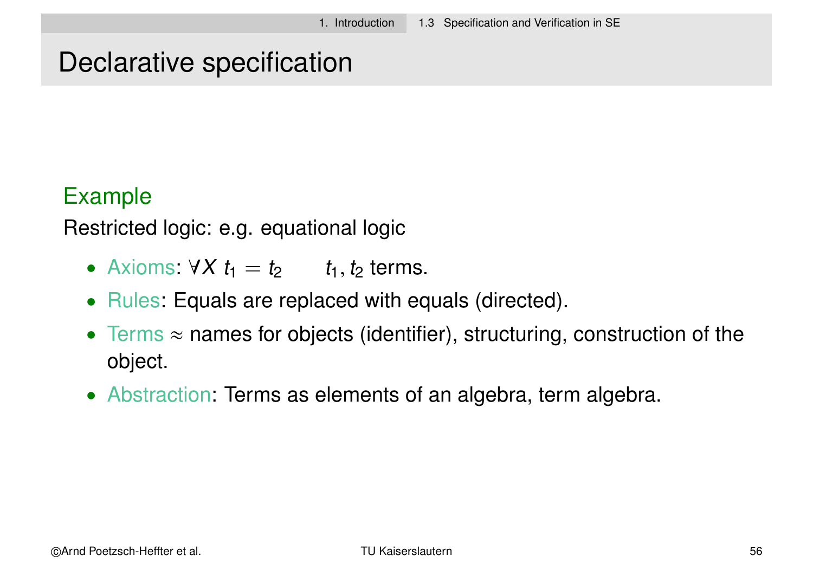#### Declarative specification

#### Example

Restricted logic: e.g. equational logic

- Axioms:  $\forall X \ t_1 = t_2 \ t_1, t_2 \text{ terms.}$
- Rules: Equals are replaced with equals (directed).
- Terms  $\approx$  names for objects (identifier), structuring, construction of the object.
- Abstraction: Terms as elements of an algebra, term algebra.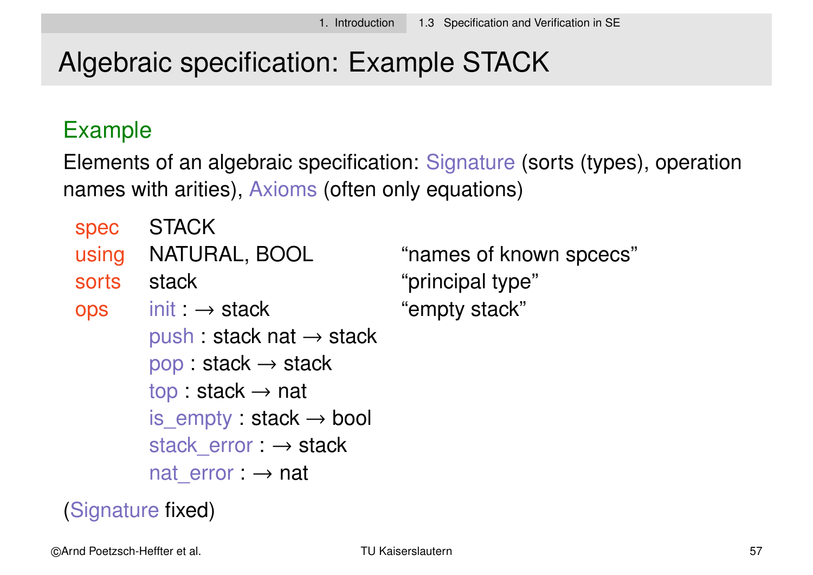# Algebraic specification: Example STACK

#### Example

Elements of an algebraic specification: Signature (sorts (types), operation names with arities), Axioms (often only equations)

| spec       | <b>STACK</b>                         |   |
|------------|--------------------------------------|---|
| using      | NATURAL, BOOL                        | " |
| sorts      | stack                                | " |
| <b>Ops</b> | $init: \rightarrow stack$            | " |
|            | push : stack nat $\rightarrow$ stack |   |
|            | $pop: stack \rightarrow stack$       |   |
|            | top: stack $\rightarrow$ nat         |   |
|            | is empty : stack $\rightarrow$ bool  |   |
|            | stack error : $\rightarrow$ stack    |   |
|            | nat error $\rightarrow$ nat          |   |
|            |                                      |   |

names of known spcecs" principal type" empty stack"

(Signature fixed)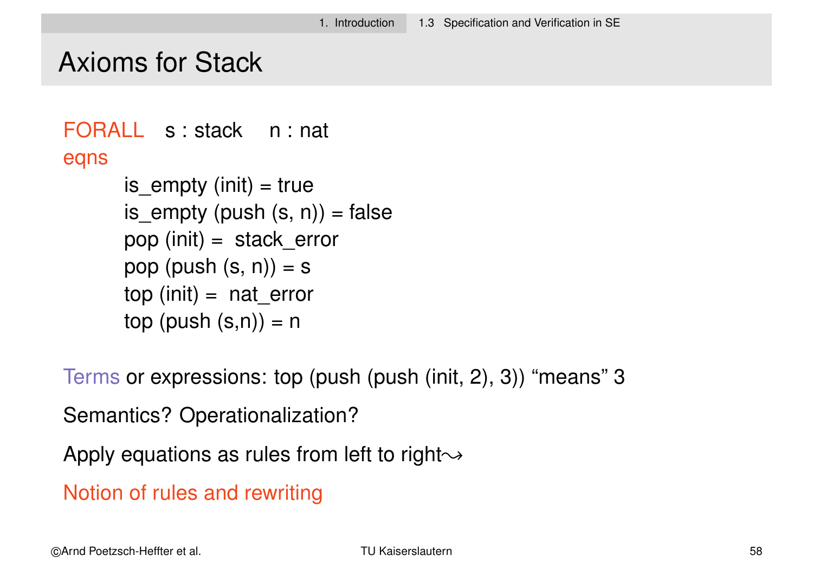#### Axioms for Stack

```
FORALL s : stack n : nat
eqns
      is empty (init) = trueis_empty (push (s, n)) = false
      pop (init) = stack errorpop (push (s, n)) = s
      top (init) = nat errortop (push (s,n)) = n
```
Terms or expressions: top (push (push (init, 2), 3)) "means" 3

Semantics? Operationalization?

Apply equations as rules from left to right $\rightsquigarrow$ 

Notion of rules and rewriting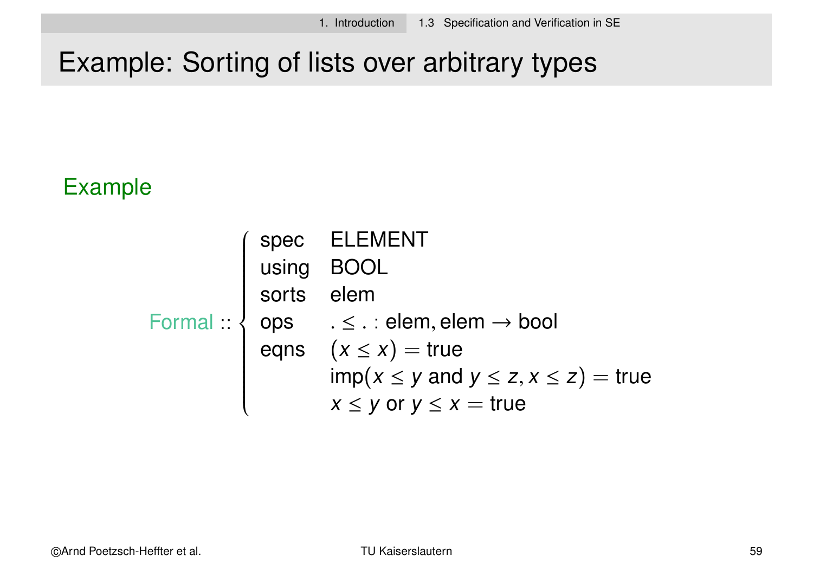# Example: Sorting of lists over arbitrary types

#### Example

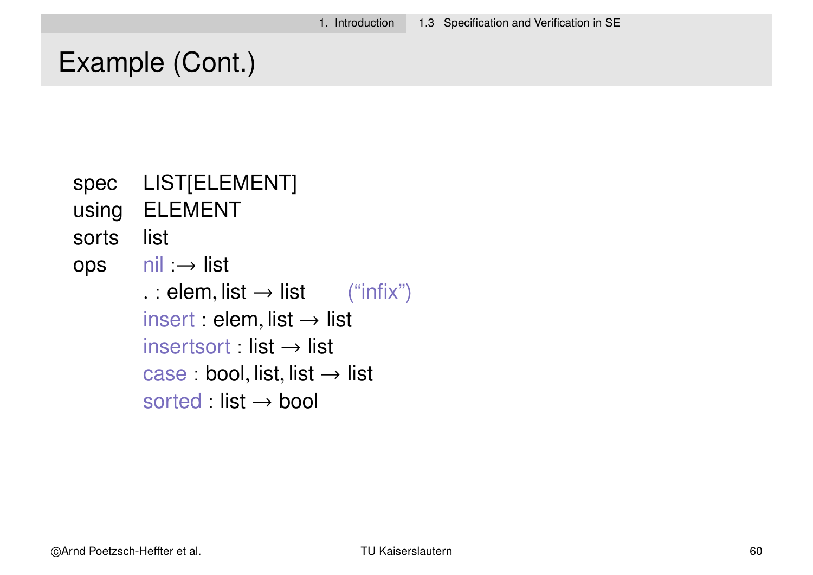#### Example (Cont.)

- spec LIST[ELEMENT]
- using ELEMENT
- sorts list
- ops nil :→ list . : elem, list  $\rightarrow$  list ("infix")  $insert : elem, list \rightarrow list$  $insertsort : list \rightarrow list$ case : bool, list, list  $\rightarrow$  list sorted : list  $\rightarrow$  bool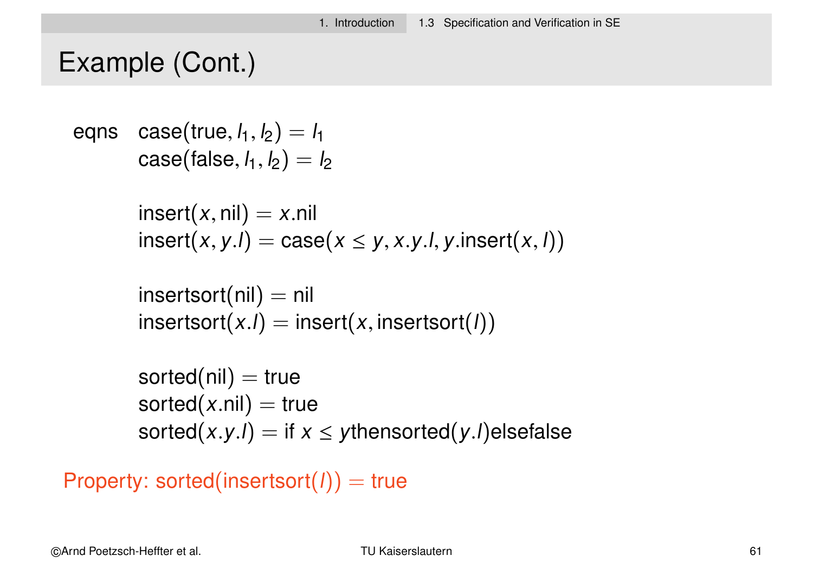#### Example (Cont.)

```
eqns \, case(\text{true}, l_1, l_2) = l_1\mathsf{case}(\mathsf{false}, \mathsf{l}_1, \mathsf{l}_2) = \mathsf{l}_2insert(x, nil) = x.nilinsert(x, y, l) = case(x \leq y, x, y, l, y, insert(x, l))
```

```
insertsort(nil) = nilinsertsort(x.1) = insert(x, insertsort(1))
```

```
sorted(nil) = truesorted(x.nil) = true
sorted(x.y.l) = if x \le ythensorted(y.l)elsefalse
```

```
Property: sorted(insertsort(l)) = true
```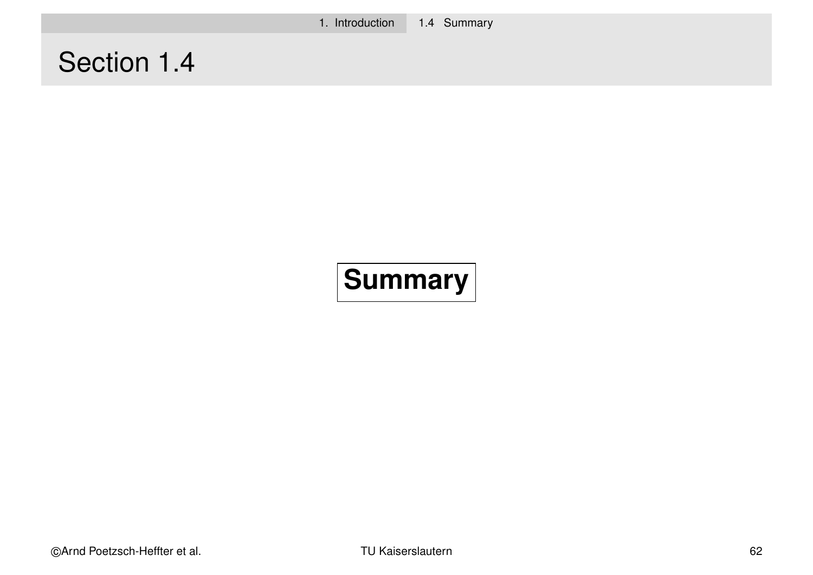# Section 1.4

# **Summary**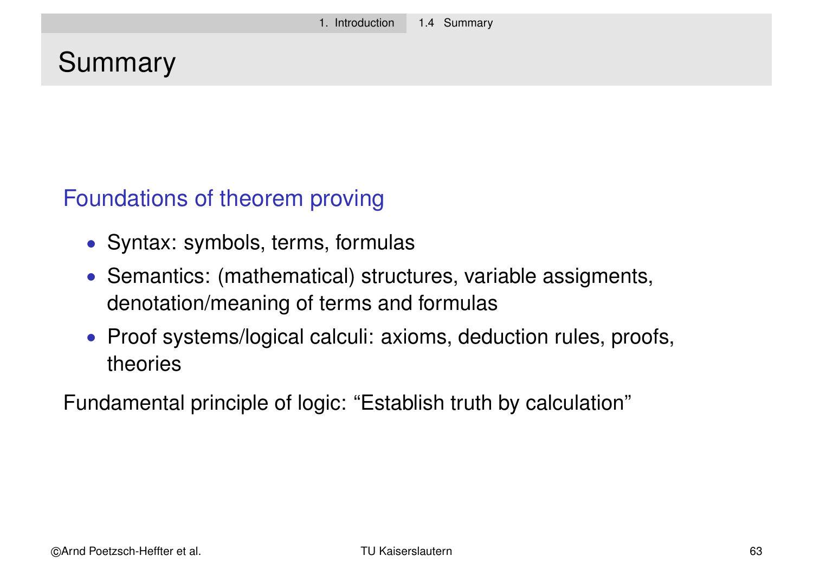# Summary

#### Foundations of theorem proving

- Syntax: symbols, terms, formulas
- Semantics: (mathematical) structures, variable assigments, denotation/meaning of terms and formulas
- Proof systems/logical calculi: axioms, deduction rules, proofs, theories

Fundamental principle of logic: "Establish truth by calculation"